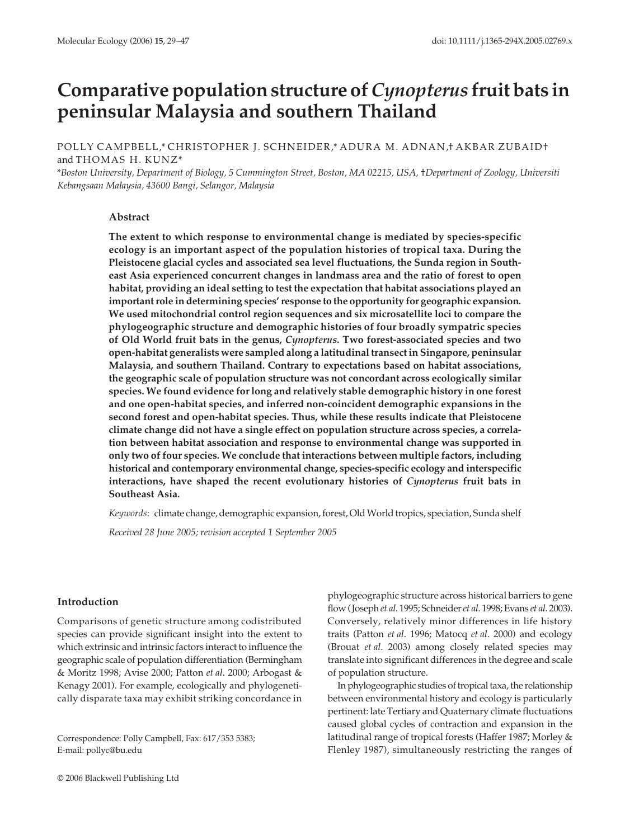# **Comparative population structure of** *Cynopterus* **fruit bats in peninsular Malaysia and southern Thailand**

POLLY CAMPBELL,\* CHRISTOPHER J. SCHNEIDER,\* ADURA M. ADNAN,† AKBAR ZUBAID† and THOMAS H. KUNZ\*

\*Boston University, Department of Biology, 5 Cummington Street, Boston, MA 02215, USA, +Department of Zoology, Universiti *Kebangsaan Malaysia, 43600 Bangi, Selangor, Malaysia*

# **Abstract**

**The extent to which response to environmental change is mediated by species-specific ecology is an important aspect of the population histories of tropical taxa. During the Pleistocene glacial cycles and associated sea level fluctuations, the Sunda region in Southeast Asia experienced concurrent changes in landmass area and the ratio of forest to open habitat, providing an ideal setting to test the expectation that habitat associations played an importantrole in determining species'response to the opportunity for geographic expansion. We used mitochondrial control region sequences and six microsatellite loci to compare the phylogeographic structure and demographic histories of four broadly sympatric species of Old World fruit bats in the genus,** *Cynopterus***. Two forest-associated species and two open-habitat generalists were sampled along a latitudinal transect in Singapore, peninsular Malaysia, and southern Thailand. Contrary to expectations based on habitat associations, the geographic scale of population structure was not concordant across ecologically similar species. We found evidence forlong and relatively stable demographic history in one forest and one open-habitat species, and inferred non-coincident demographic expansions in the second forest and open-habitat species. Thus, while these results indicate that Pleistocene climate change did not have a single effect on population structure across species, a correlation between habitat association and response to environmental change was supported in only two offour species. We conclude that interactions between multiple factors, including historical and contemporary environmental change, species-specific ecology and interspecific interactions, have shaped the recent evolutionary histories of** *Cynopterus* **fruit bats in Southeast Asia***.*

Keywords: climate change, demographic expansion, forest, Old World tropics, speciation, Sunda shelf

*Received 28 June 2005; revision accepted 1 September 2005*

# **Introduction**

Comparisons of genetic structure among codistributed species can provide significant insight into the extent to which extrinsic and intrinsic factors interact to influence the geographic scale of population differentiation (Bermingham & Moritz 1998; Avise 2000; Patton *et al*. 2000; Arbogast & Kenagy 2001). For example, ecologically and phylogenetically disparate taxa may exhibit striking concordance in

Correspondence: Polly Campbell, Fax: 617/353 5383; E-mail: pollyc@bu.edu

phylogeographic structure across historical barriers to gene flow (Joseph *et al*. 1995; Schneider*et al*. 1998; Evans *et al*. 2003). Conversely, relatively minor differences in life history traits (Patton *et al*. 1996; Matocq *et al*. 2000) and ecology (Brouat *et al*. 2003) among closely related species may translate into significant differences in the degree and scale of population structure.

In phylogeographic studies of tropical taxa, the relationship between environmental history and ecology is particularly pertinent: late Tertiary and Quaternary climate fluctuations caused global cycles of contraction and expansion in the latitudinal range of tropical forests (Haffer 1987; Morley & Flenley 1987), simultaneously restricting the ranges of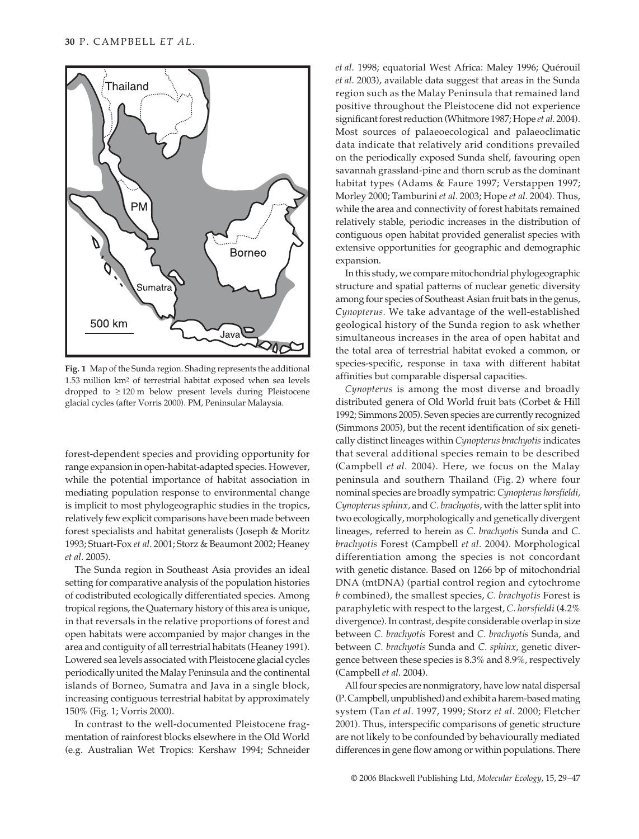

**Fig. 1** Map of the Sunda region. Shading represents the additional 1.53 million km2 of terrestrial habitat exposed when sea levels dropped to ≥ 120 m below present levels during Pleistocene glacial cycles (after Vorris 2000). PM, Peninsular Malaysia.

forest-dependent species and providing opportunity for range expansion in open-habitat-adapted species. However, while the potential importance of habitat association in mediating population response to environmental change is implicit to most phylogeographic studies in the tropics, relatively few explicit comparisons have been made between forest specialists and habitat generalists (Joseph & Moritz 1993; Stuart-Fox *et al*. 2001; Storz & Beaumont 2002; Heaney *et al*. 2005).

The Sunda region in Southeast Asia provides an ideal setting for comparative analysis of the population histories of codistributed ecologically differentiated species. Among tropical regions, the Quaternary history of this area is unique, in that reversals in the relative proportions of forest and open habitats were accompanied by major changes in the area and contiguity of all terrestrial habitats (Heaney 1991). Lowered sea levels associated with Pleistocene glacial cycles periodically united the Malay Peninsula and the continental islands of Borneo, Sumatra and Java in a single block, increasing contiguous terrestrial habitat by approximately 150% (Fig. 1; Vorris 2000).

In contrast to the well-documented Pleistocene fragmentation of rainforest blocks elsewhere in the Old World (e.g. Australian Wet Tropics: Kershaw 1994; Schneider *et al*. 1998; equatorial West Africa: Maley 1996; Quérouil *et al*. 2003), available data suggest that areas in the Sunda region such as the Malay Peninsula that remained land positive throughout the Pleistocene did not experience significant forest reduction (Whitmore 1987; Hope *et al.* 2004). Most sources of palaeoecological and palaeoclimatic data indicate that relatively arid conditions prevailed on the periodically exposed Sunda shelf, favouring open savannah grassland-pine and thorn scrub as the dominant habitat types (Adams & Faure 1997; Verstappen 1997; Morley 2000; Tamburini *et al*. 2003; Hope *et al*. 2004). Thus, while the area and connectivity of forest habitats remained relatively stable, periodic increases in the distribution of contiguous open habitat provided generalist species with extensive opportunities for geographic and demographic expansion.

In this study, we compare mitochondrial phylogeographic structure and spatial patterns of nuclear genetic diversity among four species of Southeast Asian fruit bats in the genus, *Cynopterus.* We take advantage of the well-established geological history of the Sunda region to ask whether simultaneous increases in the area of open habitat and the total area of terrestrial habitat evoked a common, or species-specific, response in taxa with different habitat affinities but comparable dispersal capacities.

*Cynopterus* is among the most diverse and broadly distributed genera of Old World fruit bats (Corbet & Hill 1992; Simmons 2005). Seven species are currently recognized (Simmons 2005), but the recent identification of six genetically distinct lineages within *Cynopterus brachyotis*indicates that several additional species remain to be described (Campbell *et al*. 2004). Here, we focus on the Malay peninsula and southern Thailand (Fig. 2) where four nominal species are broadly sympatric: *Cynopterus horsfieldi, Cynopterussphinx,* and *C. brachyotis*, with the latter split into two ecologically, morphologically and genetically divergent lineages, referred to herein as *C. brachyotis* Sunda and *C. brachyotis* Forest (Campbell *et al*. 2004). Morphological differentiation among the species is not concordant with genetic distance. Based on 1266 bp of mitochondrial DNA (mtDNA) (partial control region and cytochrome *b* combined), the smallest species, *C. brachyotis* Forest is paraphyletic with respect to the largest, *C. horsfieldi* (4.2% divergence).In contrast, despite considerable overlap in size between *C. brachyotis* Forest and *C. brachyotis* Sunda, and between *C. brachyotis* Sunda and *C. sphinx*, genetic divergence between these species is 8.3% and 8.9%, respectively (Campbell *et al*. 2004).

All four species are nonmigratory, have low natal dispersal (P. Campbell, unpublished) and exhibit a harem-based mating system (Tan *et al*. 1997, 1999; Storz *et al*. 2000; Fletcher 2001). Thus, interspecific comparisons of genetic structure are not likely to be confounded by behaviourally mediated differences in gene flow among or within populations. There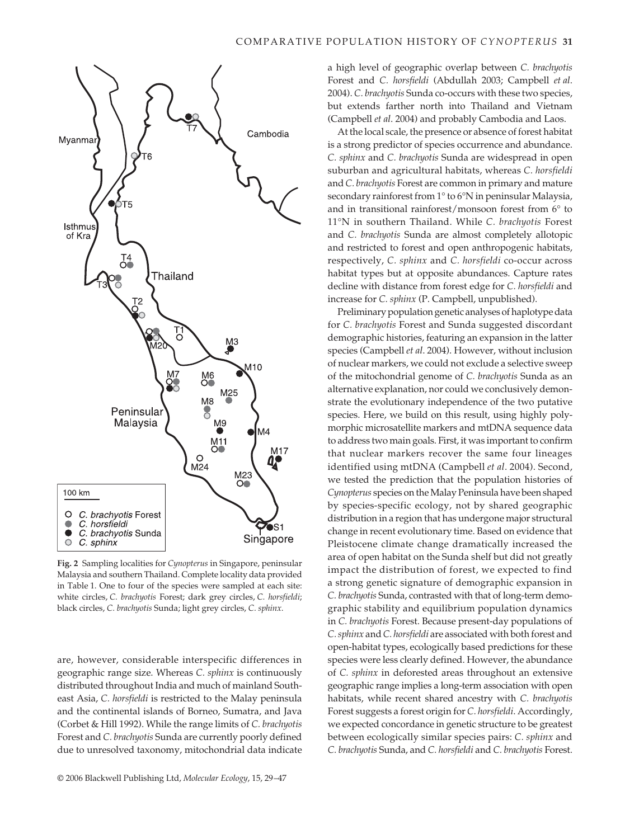

**Fig. 2** Sampling localities for *Cynopterus* in Singapore, peninsular Malaysia and southern Thailand. Complete locality data provided in Table 1. One to four of the species were sampled at each site: white circles, *C. brachyotis* Forest; dark grey circles, *C. horsfieldi*; black circles, *C. brachyotis* Sunda; light grey circles, *C. sphinx*.

are, however, considerable interspecific differences in geographic range size. Whereas *C. sphinx* is continuously distributed throughout India and much of mainland Southeast Asia, *C. horsfieldi* is restricted to the Malay peninsula and the continental islands of Borneo, Sumatra, and Java (Corbet & Hill 1992). While the range limits of *C. brachyotis* Forest and *C. brachyotis* Sunda are currently poorly defined due to unresolved taxonomy, mitochondrial data indicate a high level of geographic overlap between *C. brachyotis* Forest and *C. horsfieldi* (Abdullah 2003; Campbell *et al*. 2004). *C. brachyotis* Sunda co-occurs with these two species, but extends farther north into Thailand and Vietnam (Campbell *et al*. 2004) and probably Cambodia and Laos.

At the local scale, the presence or absence of forest habitat is a strong predictor of species occurrence and abundance. *C. sphinx* and *C. brachyotis* Sunda are widespread in open suburban and agricultural habitats, whereas *C. horsfieldi* and *C. brachyotis* Forest are common in primary and mature secondary rainforest from 1 to 6 N in peninsular Malaysia, and in transitional rainforest/monsoon forest from 6 to 11 N in southern Thailand. While *C. brachyotis* Forest and *C. brachyotis* Sunda are almost completely allotopic and restricted to forest and open anthropogenic habitats, respectively, *C. sphinx* and *C. horsfieldi* co-occur across habitat types but at opposite abundances. Capture rates decline with distance from forest edge for *C. horsfieldi* and increase for *C. sphinx* (P. Campbell, unpublished).

Preliminary population genetic analyses of haplotype data for *C. brachyotis* Forest and Sunda suggested discordant demographic histories, featuring an expansion in the latter species (Campbell *et al*. 2004). However, without inclusion of nuclear markers, we could not exclude a selective sweep of the mitochondrial genome of *C. brachyotis* Sunda as an alternative explanation, nor could we conclusively demonstrate the evolutionary independence of the two putative species. Here, we build on this result, using highly polymorphic microsatellite markers and mtDNA sequence data to address two main goals. First, it was important to confirm that nuclear markers recover the same four lineages identified using mtDNA (Campbell *et al*. 2004). Second, we tested the prediction that the population histories of *Cynopterus* species on theMalay Peninsula have been shaped by species-specific ecology, not by shared geographic distribution in a region that has undergone major structural change in recent evolutionary time. Based on evidence that Pleistocene climate change dramatically increased the area of open habitat on the Sunda shelf but did not greatly impact the distribution of forest, we expected to find a strong genetic signature of demographic expansion in *C. brachyotis* Sunda, contrasted with that of long-term demographic stability and equilibrium population dynamics in *C. brachyotis* Forest. Because present-day populations of *C.sphinx* and*C. horsfieldi* are associated with both forest and open-habitat types, ecologically based predictions for these species were less clearly defined. However, the abundance of *C. sphinx* in deforested areas throughout an extensive geographic range implies a long-term association with open habitats, while recent shared ancestry with *C. brachyotis* Forest suggests a forest origin for *C. horsfieldi*. Accordingly, we expected concordance in genetic structure to be greatest between ecologically similar species pairs: *C. sphinx* and *C. brachyotis* Sunda, and *C. horsfieldi* and *C. brachyotis* Forest.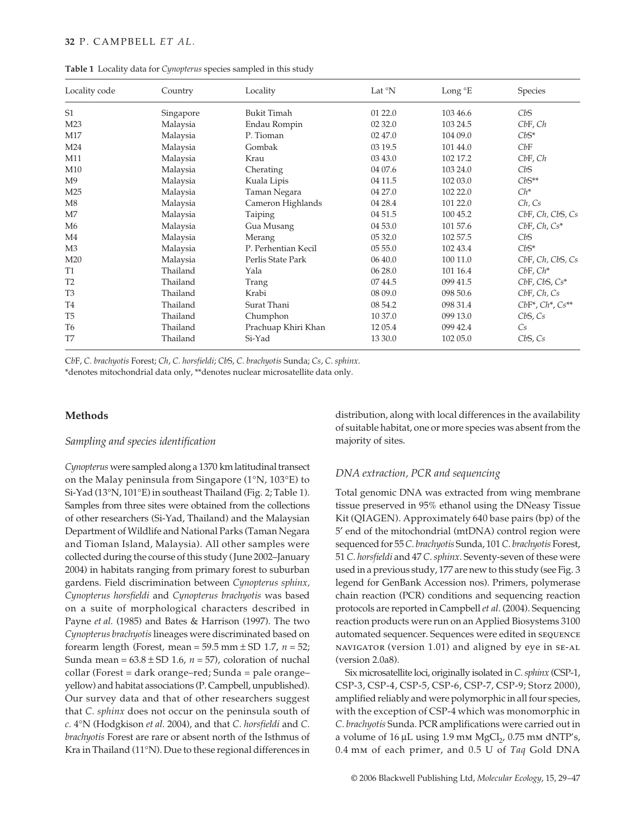# **32** P. CAMPBELL *ET AL.*

|  | Table 1 Locality data for Cynopterus species sampled in this study |  |
|--|--------------------------------------------------------------------|--|
|  |                                                                    |  |

| Locality code  | Country   | Locality            | Lat N   | Long E   | Species                      |
|----------------|-----------|---------------------|---------|----------|------------------------------|
| S <sub>1</sub> | Singapore | <b>Bukit Timah</b>  | 01 22.0 | 103 46.6 | CbS                          |
| M23            | Malaysia  | Endau Rompin        | 02 32.0 | 103 24.5 | CbF, Ch                      |
| M17            | Malaysia  | P. Tioman           | 02 47.0 | 104 09.0 | $CbS^*$                      |
| M24            | Malaysia  | Gombak              | 03 19.5 | 101 44.0 | CbF                          |
| M11            | Malaysia  | Krau                | 03 43.0 | 102 17.2 | CbF, Ch                      |
| M10            | Malaysia  | Cherating           | 04 07.6 | 103 24.0 | CbS                          |
| M <sup>9</sup> | Malaysia  | Kuala Lipis         | 04 11.5 | 102 03.0 | $Cb^{**}$                    |
| M25            | Malaysia  | Taman Negara        | 04 27.0 | 102 22.0 | $Ch^*$                       |
| M8             | Malaysia  | Cameron Highlands   | 04 28.4 | 101 22.0 | Ch, Cs                       |
| M7             | Malaysia  | Taiping             | 04 51.5 | 100 45.2 | $CbF$ , $Ch$ , $CbS$ , $Cs$  |
| M6             | Malaysia  | Gua Musang          | 04 53.0 | 101 57.6 | $CbF, Ch, Cs*$               |
| M <sub>4</sub> | Malaysia  | Merang              | 05 32.0 | 102 57.5 | CbS                          |
| M <sub>3</sub> | Malaysia  | P. Perhentian Kecil | 05 55.0 | 102 43.4 | $CbS^*$                      |
| M20            | Malaysia  | Perlis State Park   | 06 40.0 | 100 11.0 | $CbF$ , $Ch$ , $CbS$ , $Cs$  |
| T <sub>1</sub> | Thailand  | Yala                | 06 28.0 | 101 16.4 | $CbF, Ch^*$                  |
| T <sub>2</sub> | Thailand  | Trang               | 0744.5  | 099 41.5 | $CbF$ , $CbS$ , $Cs^*$       |
| T <sub>3</sub> | Thailand  | Krabi               | 08 09.0 | 098 50.6 | CbF, Ch, Cs                  |
| T4             | Thailand  | Surat Thani         | 08 54.2 | 098 31.4 | $CbF^*$ , $Ch^*$ , $Cs^{**}$ |
| T <sub>5</sub> | Thailand  | Chumphon            | 10 37.0 | 099 13.0 | CbS, Cs                      |
| T <sub>6</sub> | Thailand  | Prachuap Khiri Khan | 12 05.4 | 099 42.4 | Cs                           |
| T7             | Thailand  | Si-Yad              | 13 30.0 | 102 05.0 | CbS, Cs                      |

C*b*F, *C. brachyotis* Forest; *Ch*, *C. horsfieldi*; *Cb*S, *C. brachyotis* Sunda; *Cs*, *C. sphinx*.

\*denotes mitochondrial data only, \*\*denotes nuclear microsatellite data only.

# **Methods**

# *Sampling and species identification*

*Cynopterus* were sampled along a 1370 km latitudinal transect on the Malay peninsula from Singapore (1 N, 103 E) to Si-Yad (13 N, 101 E) in southeast Thailand (Fig. 2; Table 1). Samples from three sites were obtained from the collections of other researchers (Si-Yad, Thailand) and the Malaysian Department of Wildlife and National Parks (Taman Negara and Tioman Island, Malaysia). All other samples were collected during the course of this study (June 2002–January 2004) in habitats ranging from primary forest to suburban gardens. Field discrimination between *Cynopterus sphinx, Cynopterus horsfieldi* and *Cynopterus brachyotis* was based on a suite of morphological characters described in Payne *et al*. (1985) and Bates & Harrison (1997). The two *Cynopterus brachyotis*lineages were discriminated based on forearm length (Forest, mean = 59.5 mm ± SD 1.7, *n* = 52; Sunda mean =  $63.8 \pm SD$  1.6,  $n = 57$ ), coloration of nuchal collar (Forest = dark orange–red; Sunda = pale orange– yellow) and habitat associations (P. Campbell, unpublished). Our survey data and that of other researchers suggest that *C. sphinx* does not occur on the peninsula south of *c.* 4 N (Hodgkison *et al*. 2004), and that *C. horsfieldi* and *C. brachyotis* Forest are rare or absent north of the Isthmus of Kra in Thailand (11 N). Due to these regional differences in distribution, along with local differences in the availability of suitable habitat, one or more species was absent from the majority of sites.

# *DNA extraction, PCR and sequencing*

Total genomic DNA was extracted from wing membrane tissue preserved in 95% ethanol using the DNeasy Tissue Kit (QIAGEN). Approximately 640 base pairs (bp) of the 5′ end of the mitochondrial (mtDNA) control region were sequenced for 55*C. brachyotis* Sunda, 101*C. brachyotis* Forest, 51 *C. horsfieldi* and 47 *C.sphinx*. Seventy-seven of these were used in a previous study, 177 are new to this study (see Fig. 3 legend for GenBank Accession nos). Primers, polymerase chain reaction (PCR) conditions and sequencing reaction protocols are reported in Campbell*et al*. (2004). Sequencing reaction products were run on an Applied Biosystems 3100 automated sequencer. Sequences were edited in sequence navigator (version 1.01) and aligned by eye in se-al (version 2.0a8).

Six microsatellite loci, originally isolated in *C.sphinx* (CSP-1, CSP-3, CSP-4, CSP-5, CSP-6, CSP-7, CSP-9; Storz 2000), amplified reliably and were polymorphic in all four species, with the exception of CSP-4 which was monomorphic in *C. brachyotis* Sunda. PCR amplifications were carried out in a volume of  $16$  L using  $1.9 \text{ mm } \text{MgCl}_{2}$ , 0.75 mm dNTP's, 0.4 mm of each primer, and 0.5 U of *Taq* Gold DNA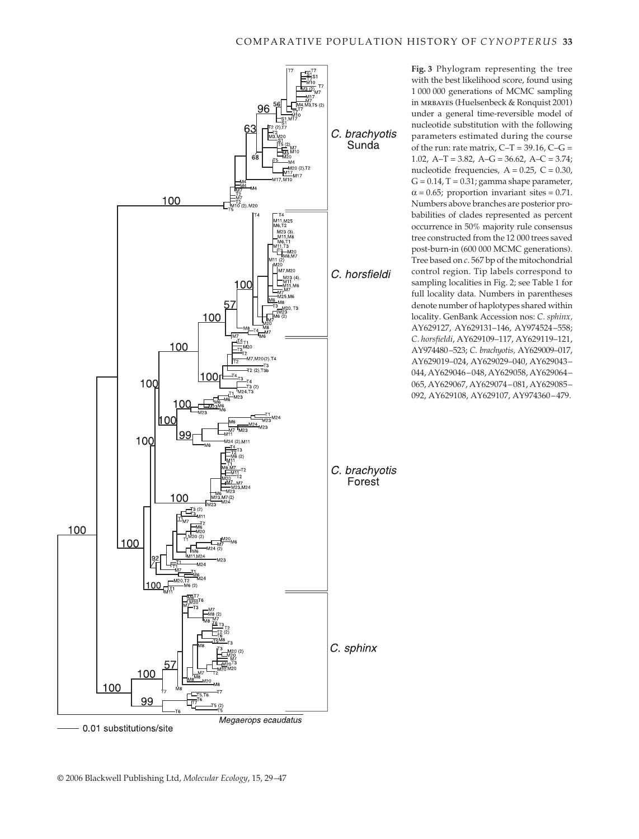

**Fig. 3** Phylogram representing the tree with the best likelihood score, found using 1 000 000 generations of MCMC sampling in mrbayes (Huelsenbeck & Ronquist 2001) under a general time-reversible model of nucleotide substitution with the following parameters estimated during the course of the run: rate matrix, C–T = 39.16, C–G *=* 1.02, A–T = 3.82, A–G *=* 36.62, A–C = 3.74; nucleotide frequencies,  $A = 0.25$ ,  $C = 0.30$ ,  $G = 0.14$ , T = 0.31; gamma shape parameter,  $\alpha$  = 0.65; proportion invariant sites = 0.71. Numbers above branches are posterior probabilities of clades represented as percent occurrence in 50% majority rule consensus tree constructed from the 12 000 trees saved post-burn-in (600 000 MCMC generations). Tree based on *c.* 567 bp of the mitochondrial control region. Tip labels correspond to sampling localities in Fig. 2; see Table 1 for full locality data. Numbers in parentheses denote number of haplotypes shared within locality. GenBank Accession nos: *C. sphinx,* AY629127, AY629131–146, AY974524–558; *C. horsfieldi*, AY629109–117, AY629119–121, AY974480–523; *C. brachyotis,* AY629009–017, AY629019–024, AY629029–040, AY629043– 044, AY629046–048, AY629058, AY629064– 065, AY629067, AY629074–081, AY629085– 092, AY629108, AY629107, AY974360–479.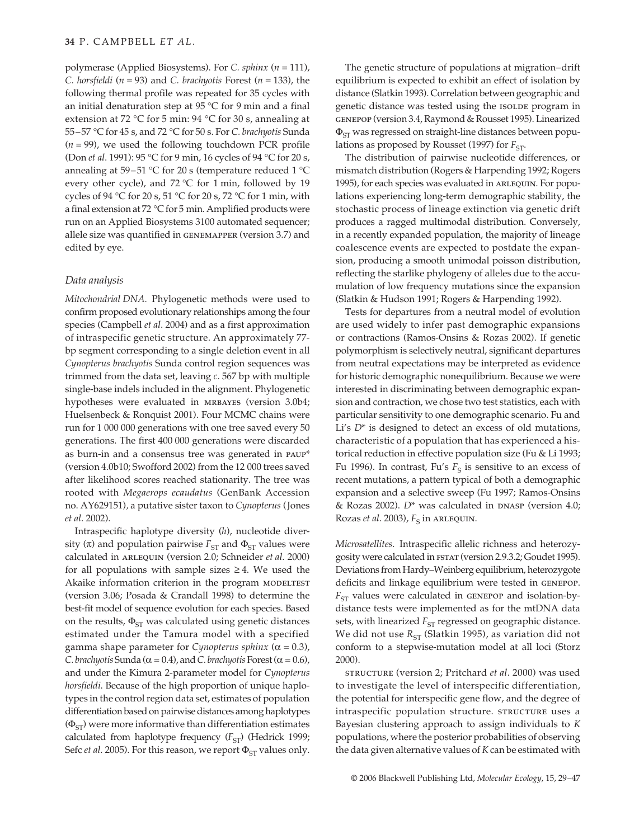polymerase (Applied Biosystems). For *C. sphinx* (*n* = 111), *C. horsfieldi* ( $n = 93$ ) and *C. brachyotis* Forest ( $n = 133$ ), the following thermal profile was repeated for 35 cycles with an initial denaturation step at 95 C for 9 min and a final extension at 72 C for 5 min: 94 C for 30 s, annealing at 55–57 C for 45 s, and 72 C for 50 s. For *C. brachyotis* Sunda  $(n = 99)$ , we used the following touchdown PCR profile (Don *et al*. 1991): 95 C for 9 min, 16 cycles of 94 C for 20 s, annealing at 59–51 C for 20 s (temperature reduced 1 C every other cycle), and 72 C for 1 min, followed by 19 cycles of 94 C for 20 s, 51 C for 20 s, 72 C for 1 min, with a final extension at 72 C for 5 min. Amplified products were run on an Applied Biosystems 3100 automated sequencer; allele size was quantified in genemapper (version 3.7) and edited by eye.

#### *Data analysis*

*Mitochondrial DNA.* Phylogenetic methods were used to confirm proposed evolutionary relationships among the four species (Campbell *et al*. 2004) and as a first approximation of intraspecific genetic structure. An approximately 77 bp segment corresponding to a single deletion event in all *Cynopterus brachyotis* Sunda control region sequences was trimmed from the data set, leaving *c.* 567 bp with multiple single-base indels included in the alignment. Phylogenetic hypotheses were evaluated in MRBAYES (version 3.0b4; Huelsenbeck & Ronquist 2001). Four MCMC chains were run for 1 000 000 generations with one tree saved every 50 generations. The first 400 000 generations were discarded as burn-in and a consensus tree was generated in paup\* (version 4.0b10; Swofford 2002) from the 12 000 trees saved after likelihood scores reached stationarity. The tree was rooted with *Megaerops ecaudatus* (GenBank Accession no. AY629151)*,* a putative sister taxon to *Cynopterus* (Jones *et al*. 2002).

Intraspecific haplotype diversity (*h*), nucleotide diversity (π) and population pairwise  $F_{ST}$  and  $Φ_{ST}$  values were calculated in arlequin (version 2.0; Schneider *et al*. 2000) for all populations with sample sizes  $\geq$  4. We used the Akaike information criterion in the program MODELTEST (version 3.06; Posada & Crandall 1998) to determine the best-fit model of sequence evolution for each species. Based on the results,  $\Phi_{ST}$  was calculated using genetic distances estimated under the Tamura model with a specified gamma shape parameter for *Cynopterus sphinx* ( $α = 0.3$ ), *C. brachyotis* Sunda ( $\alpha$  = 0.4), and *C. brachyotis* Forest ( $\alpha$  = 0.6), and under the Kimura 2-parameter model for *Cynopterus horsfieldi*. Because of the high proportion of unique haplotypes in the control region data set, estimates of population differentiation based on pairwise distances among haplotypes  $(\Phi_{ST})$  were more informative than differentiation estimates calculated from haplotype frequency  $(F_{ST})$  (Hedrick 1999; Sefc *et al*. 2005). For this reason, we report  $\Phi_{ST}$  values only.

The genetic structure of populations at migration–drift equilibrium is expected to exhibit an effect of isolation by distance (Slatkin 1993). Correlation between geographic and genetic distance was tested using the ISOLDE program in genepop (version 3.4,Raymond & Rousset 1995). Linearized  $\Phi_{ST}$  was regressed on straight-line distances between populations as proposed by Rousset (1997) for  $F_{ST}$ .

The distribution of pairwise nucleotide differences, or mismatch distribution (Rogers & Harpending 1992; Rogers 1995), for each species was evaluated in ARLEQUIN. For populations experiencing long-term demographic stability, the stochastic process of lineage extinction via genetic drift produces a ragged multimodal distribution. Conversely, in a recently expanded population, the majority of lineage coalescence events are expected to postdate the expansion, producing a smooth unimodal poisson distribution, reflecting the starlike phylogeny of alleles due to the accumulation of low frequency mutations since the expansion (Slatkin & Hudson 1991; Rogers & Harpending 1992).

Tests for departures from a neutral model of evolution are used widely to infer past demographic expansions or contractions (Ramos-Onsins & Rozas 2002). If genetic polymorphism is selectively neutral, significant departures from neutral expectations may be interpreted as evidence for historic demographic nonequilibrium. Because we were interested in discriminating between demographic expansion and contraction, we chose two test statistics, each with particular sensitivity to one demographic scenario. Fu and Li's  $D^*$  is designed to detect an excess of old mutations, characteristic of a population that has experienced a historical reduction in effective population size (Fu & Li 1993; Fu 1996). In contrast, Fu's  $F_S$  is sensitive to an excess of recent mutations, a pattern typical of both a demographic expansion and a selective sweep (Fu 1997; Ramos-Onsins & Rozas 2002). *D*<sup>\*</sup> was calculated in DNASP (version 4.0; Rozas *et al.* 2003),  $F_S$  in ARLEQUIN.

*Microsatellites.* Intraspecific allelic richness and heterozygosity were calculated in fstat (version 2.9.3.2; Goudet 1995). Deviations from Hardy–Weinberg equilibrium, heterozygote deficits and linkage equilibrium were tested in GENEPOP.  $F_{ST}$  values were calculated in GENEPOP and isolation-bydistance tests were implemented as for the mtDNA data sets, with linearized  $F_{ST}$  regressed on geographic distance. We did not use  $R_{ST}$  (Slatkin 1995), as variation did not conform to a stepwise-mutation model at all loci (Storz 2000).

structure (version 2; Pritchard *et al*. 2000) was used to investigate the level of interspecific differentiation, the potential for interspecific gene flow, and the degree of intraspecific population structure. STRUCTURE uses a Bayesian clustering approach to assign individuals to *K* populations, where the posterior probabilities of observing the data given alternative values of *K* can be estimated with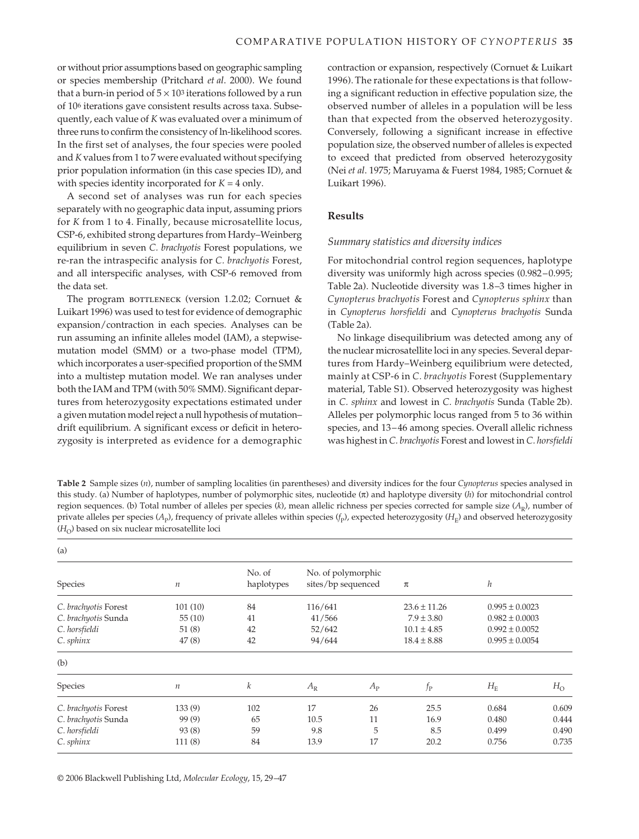or without prior assumptions based on geographic sampling or species membership (Pritchard *et al*. 2000). We found that a burn-in period of  $5 \times 10^3$  iterations followed by a run of 106 iterations gave consistent results across taxa. Subsequently, each value of *K* was evaluated over a minimum of three runs to confirm the consistency of ln-likelihood scores. In the first set of analyses, the four species were pooled and*K*values from 1 to 7 were evaluated without specifying prior population information (in this case species ID), and with species identity incorporated for  $K = 4$  only.

A second set of analyses was run for each species separately with no geographic data input, assuming priors for *K* from 1 to 4. Finally, because microsatellite locus, CSP-6, exhibited strong departures from Hardy–Weinberg equilibrium in seven *C. brachyotis* Forest populations, we re-ran the intraspecific analysis for *C. brachyotis* Forest, and all interspecific analyses, with CSP-6 removed from the data set.

The program BOTTLENECK (version 1.2.02; Cornuet  $&$ Luikart 1996) was used to test for evidence of demographic expansion/contraction in each species. Analyses can be run assuming an infinite alleles model (IAM), a stepwisemutation model (SMM) or a two-phase model (TPM), which incorporates a user-specified proportion of the SMM into a multistep mutation model. We ran analyses under both the IAM and TPM (with 50% SMM). Significant departures from heterozygosity expectations estimated under a given mutation model reject a null hypothesis of mutationdrift equilibrium. A significant excess or deficit in heterozygosity is interpreted as evidence for a demographic

contraction or expansion, respectively (Cornuet & Luikart 1996). The rationale for these expectations is that following a significant reduction in effective population size, the observed number of alleles in a population will be less than that expected from the observed heterozygosity. Conversely, following a significant increase in effective population size, the observed number of alleles is expected to exceed that predicted from observed heterozygosity (Nei *et al*. 1975; Maruyama & Fuerst 1984, 1985; Cornuet & Luikart 1996).

## **Results**

#### *Summary statistics and diversity indices*

For mitochondrial control region sequences, haplotype diversity was uniformly high across species (0.982–0.995; Table 2a). Nucleotide diversity was 1.8–3 times higher in *Cynopterus brachyotis* Forest and *Cynopterus sphinx* than in *Cynopterus horsfieldi* and *Cynopterus brachyotis* Sunda (Table 2a).

No linkage disequilibrium was detected among any of the nuclear microsatellite loci in any species. Several departures from Hardy–Weinberg equilibrium were detected, mainly at CSP-6 in *C. brachyotis* Forest (Supplementary material, Table S1). Observed heterozygosity was highest in *C. sphinx* and lowest in *C. brachyotis* Sunda (Table 2b). Alleles per polymorphic locus ranged from 5 to 36 within species, and 13–46 among species. Overall allelic richness was highest in *C. brachyotis* Forest and lowest in *C. horsfieldi*

**Table 2** Sample sizes (*n*), number of sampling localities (in parentheses) and diversity indices for the four *Cynopterus* species analysed in this study. (a) Number of haplotypes, number of polymorphic sites, nucleotide (π) and haplotype diversity (*h*) for mitochondrial control region sequences. (b) Total number of alleles per species (k), mean allelic richness per species corrected for sample size (A<sub>R</sub>), number of private alleles per species ( $A_{\rm p}$ ), frequency of private alleles within species ( $f_{\rm p}$ ), expected heterozygosity ( $H_{\rm E}$ ) and observed heterozygosity  $(H<sub>O</sub>)$  based on six nuclear microsatellite loci

| (a)                  |                  |                      |                                          |             |                  |                    |             |  |  |  |
|----------------------|------------------|----------------------|------------------------------------------|-------------|------------------|--------------------|-------------|--|--|--|
| Species              | $\boldsymbol{n}$ | No. of<br>haplotypes | No. of polymorphic<br>sites/bp sequenced |             | $\pi$            | h                  |             |  |  |  |
| C. brachyotis Forest | 101(10)          | 84                   | 116/641                                  |             | $23.6 \pm 11.26$ | $0.995 \pm 0.0023$ |             |  |  |  |
| C. brachyotis Sunda  | 55(10)           | 41                   | 41/566                                   |             |                  | $0.982 \pm 0.0003$ |             |  |  |  |
| C. horsfieldi        | 51(8)            | 42                   | 52/642                                   |             | $10.1 \pm 4.85$  | $0.992 \pm 0.0052$ |             |  |  |  |
| C. sphinx            | 47(8)            | 42                   | 94/644                                   |             | $18.4 \pm 8.88$  | $0.995 \pm 0.0054$ |             |  |  |  |
| (b)                  |                  |                      |                                          |             |                  |                    |             |  |  |  |
| Species              | $\boldsymbol{n}$ | k                    | $A_{R}$                                  | $A_{\rm P}$ | $f_{\rm P}$      | $H_{\rm E}$        | $H_{\rm O}$ |  |  |  |
| C. brachyotis Forest | 133(9)           | 102                  | 17                                       | 26          | 25.5             | 0.684              | 0.609       |  |  |  |
| C. brachyotis Sunda  | 99(9)            | 65                   | 10.5                                     | 11          | 16.9             | 0.480              | 0.444       |  |  |  |
| C. horsfieldi        | 93 (8)           | 59                   | 9.8                                      | 5           | 8.5              | 0.499              | 0.490       |  |  |  |
| C. sphinx            | 111(8)           | 84                   | 13.9                                     | 17          | 20.2             | 0.756              | 0.735       |  |  |  |

© 2006 Blackwell Publishing Ltd, *Molecular Ecology*, 15, 29–47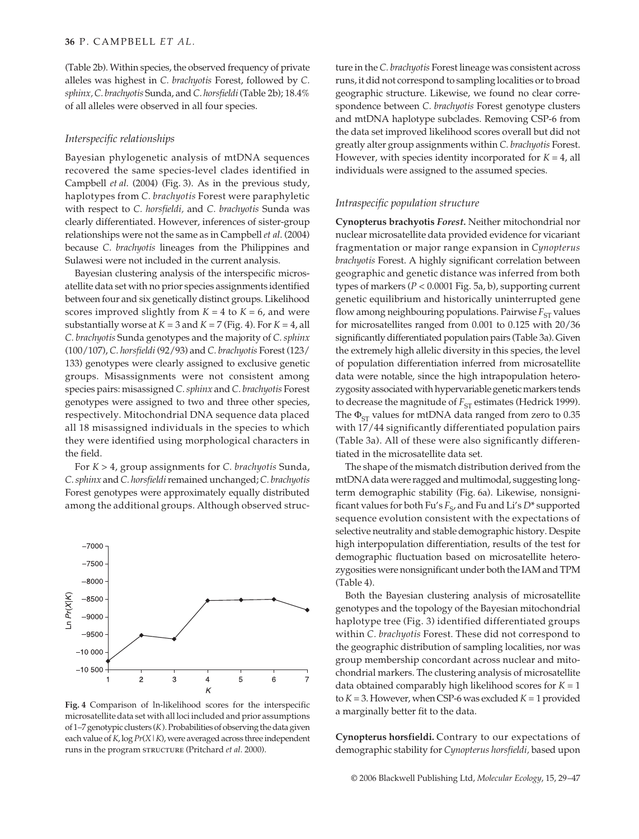(Table 2b). Within species, the observed frequency of private alleles was highest in *C. brachyotis* Forest, followed by *C. sphinx,C. brachyotis* Sunda, and*C. horsfieldi*(Table 2b); 18.4% of all alleles were observed in all four species.

#### *Interspecific relationships*

Bayesian phylogenetic analysis of mtDNA sequences recovered the same species-level clades identified in Campbell *et al*. (2004) (Fig. 3). As in the previous study, haplotypes from *C. brachyotis* Forest were paraphyletic with respect to *C. horsfieldi,* and *C. brachyotis* Sunda was clearly differentiated. However, inferences of sister-group relationships were not the same as in Campbell *et al*. (2004) because *C. brachyotis* lineages from the Philippines and Sulawesi were not included in the current analysis.

Bayesian clustering analysis of the interspecific microsatellite data set with no prior species assignments identified between four and six genetically distinct groups. Likelihood scores improved slightly from  $K = 4$  to  $K = 6$ , and were substantially worse at  $K = 3$  and  $K = 7$  (Fig. 4). For  $K = 4$ , all *C. brachyotis* Sunda genotypes and the majority of *C. sphinx* (100/107), *C. horsfieldi* (92/93) and *C. brachyotis* Forest (123/ 133) genotypes were clearly assigned to exclusive genetic groups. Misassignments were not consistent among species pairs: misassigned *C.sphinx* and *C. brachyotis* Forest genotypes were assigned to two and three other species, respectively. Mitochondrial DNA sequence data placed all 18 misassigned individuals in the species to which they were identified using morphological characters in the field.

For *K* > 4, group assignments for *C. brachyotis* Sunda, *C.sphinx* and *C. horsfieldi*remained unchanged; *C. brachyotis* Forest genotypes were approximately equally distributed among the additional groups. Although observed struc-



**Fig. 4** Comparison of ln-likelihood scores for the interspecific microsatellite data set with all loci included and prior assumptions of 1–7 genotypic clusters (*K*). Probabilities of observing the data given each value of *K*, log *Pr*(*X* | *K*), were averaged across three independent runs in the program structure (Pritchard *et al*. 2000).

ture in the *C. brachyotis* Forest lineage was consistent across runs, it did not correspond to sampling localities or to broad geographic structure. Likewise, we found no clear correspondence between *C. brachyotis* Forest genotype clusters and mtDNA haplotype subclades. Removing CSP-6 from the data set improved likelihood scores overall but did not greatly alter group assignments within *C. brachyotis* Forest. However, with species identity incorporated for  $K = 4$ , all individuals were assigned to the assumed species.

#### *Intraspecific population structure*

**Cynopterus brachyotis** *Forest.* Neither mitochondrial nor nuclear microsatellite data provided evidence for vicariant fragmentation or major range expansion in *Cynopterus brachyotis* Forest. A highly significant correlation between geographic and genetic distance was inferred from both types of markers (*P <* 0.0001 Fig. 5a, b), supporting current genetic equilibrium and historically uninterrupted gene flow among neighbouring populations. Pairwise  $F_{ST}$  values for microsatellites ranged from 0.001 to 0.125 with 20/36 significantly differentiated population pairs (Table 3a). Given the extremely high allelic diversity in this species, the level of population differentiation inferred from microsatellite data were notable, since the high intrapopulation heterozygosity associated with hypervariable genetic markers tends to decrease the magnitude of  $F_{ST}$  estimates (Hedrick 1999). The  $\Phi_{ST}$  values for mtDNA data ranged from zero to 0.35 with 17/44 significantly differentiated population pairs (Table 3a). All of these were also significantly differentiated in the microsatellite data set.

The shape of the mismatch distribution derived from the mtDNA data were ragged and multimodal, suggesting longterm demographic stability (Fig. 6a). Likewise, nonsignificant values for both Fu's  $F_s$ , and Fu and Li's  $D^*$  supported sequence evolution consistent with the expectations of selective neutrality and stable demographic history. Despite high interpopulation differentiation, results of the test for demographic fluctuation based on microsatellite heterozygosities were nonsignificant under both the IAM and TPM (Table 4).

Both the Bayesian clustering analysis of microsatellite genotypes and the topology of the Bayesian mitochondrial haplotype tree (Fig. 3) identified differentiated groups within *C. brachyotis* Forest. These did not correspond to the geographic distribution of sampling localities, nor was group membership concordant across nuclear and mitochondrial markers. The clustering analysis of microsatellite data obtained comparably high likelihood scores for  $K = 1$ to  $K = 3$ . However, when CSP-6 was excluded  $K = 1$  provided a marginally better fit to the data.

**Cynopterus horsfieldi.** Contrary to our expectations of demographic stability for *Cynopterus horsfieldi,* based upon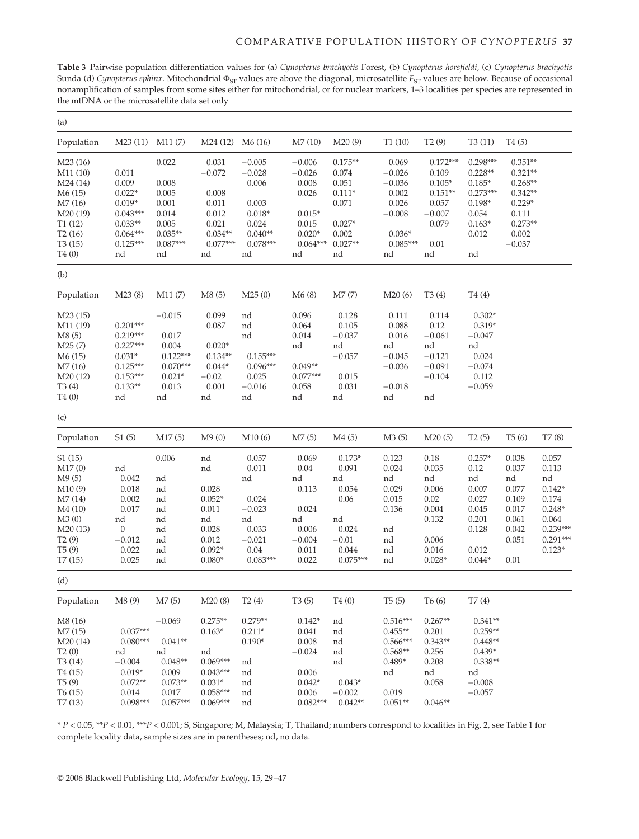**Table 3** Pairwise population differentiation values for (a) *Cynopterus brachyotis* Forest, (b) *Cynopterus horsfieldi,* (c) *Cynopterus brachyotis* Sunda (d) *Cynopterus sphinx*. Mitochondrial Φ<sub>ST</sub> values are above the diagonal, microsatellite *F<sub>ST</sub>* values are below. Because of occasional nonamplification of samples from some sites either for mitochondrial, or for nuclear markers, 1–3 localities per species are represented in the mtDNA or the microsatellite data set only

| (a)                 |              |            |            |                     |                    |                    |            |                      |            |           |            |
|---------------------|--------------|------------|------------|---------------------|--------------------|--------------------|------------|----------------------|------------|-----------|------------|
| Population          | M23(11)      | M11(7)     | M24(12)    | M <sub>6</sub> (16) | M7(10)             | M20(9)             | T1(10)     | T2(9)                | T3(11)     | T4(5)     |            |
| M23 (16)            |              | 0.022      | 0.031      | $-0.005$            | $-0.006$           | $0.175**$          | 0.069      | $0.172***$           | $0.298***$ | $0.351**$ |            |
| M11 (10)            | 0.011        |            | $-0.072$   | $-0.028$            | $-0.026$           | 0.074              | $-0.026$   | 0.109                | $0.228**$  | $0.321**$ |            |
| M24(14)             | 0.009        | 0.008      |            | 0.006               | 0.008              | 0.051              | $-0.036$   | $0.105*$             | $0.185*$   | $0.268**$ |            |
| M6 (15)             | $0.022*$     | 0.005      | 0.008      |                     | 0.026              | $0.111*$           | 0.002      | $0.151**$            | $0.273***$ | $0.342**$ |            |
| M7 (16)             | $0.019*$     | 0.001      | 0.011      | 0.003               |                    | 0.071              | 0.026      | 0.057                | $0.198*$   | $0.229*$  |            |
| M20 (19)            | $0.043***$   | 0.014      | 0.012      | $0.018*$            | $0.015*$           |                    | $-0.008$   | $-0.007$             | 0.054      | 0.111     |            |
|                     | $0.033**$    | 0.005      |            |                     |                    | $0.027*$           |            | 0.079                |            | $0.273**$ |            |
| T1(12)              |              |            | 0.021      | 0.024               | 0.015              |                    |            |                      | $0.163*$   |           |            |
| T2(16)              | $0.064***$   | $0.035**$  | $0.034**$  | $0.040**$           | $0.020*$           | 0.002              | $0.036*$   |                      | 0.012      | 0.002     |            |
| T3(15)              | $0.125***$   | $0.087***$ | $0.077***$ | $0.078***$          | $0.064***$         | $0.027**$          | $0.085***$ | 0.01                 |            | $-0.037$  |            |
| T4(0)               | nd           | nd         | nd         | nd                  | nd                 | nd                 | nd         | nd                   | nd         |           |            |
| (b)                 |              |            |            |                     |                    |                    |            |                      |            |           |            |
| Population          | M23(8)       | M11(7)     | M8(5)      | M25(0)              | M <sub>6</sub> (8) | M7 (7)             | M20(6)     | T3(4)                | T4(4)      |           |            |
| M23 (15)            |              | $-0.015$   | 0.099      | nd                  | 0.096              | 0.128              | 0.111      | 0.114                | $0.302*$   |           |            |
| M11 (19)            | $0.201***$   |            | 0.087      | nd                  | 0.064              | 0.105              | 0.088      | 0.12                 | $0.319*$   |           |            |
| M8(5)               | $0.219***$   | 0.017      |            | nd                  | 0.014              | $-0.037$           | 0.016      | $-0.061$             | $-0.047$   |           |            |
| M25(7)              | $0.227***$   | 0.004      | $0.020*$   |                     | nd                 | nd                 | nd         | nd                   | nd         |           |            |
| M <sub>6</sub> (15) | $0.031*$     | $0.122***$ | $0.134**$  | $0.155***$          |                    | $-0.057$           | $-0.045$   | $-0.121$             | 0.024      |           |            |
| M7 (16)             | $0.125***$   | $0.070***$ | $0.044*$   | $0.096***$          | $0.049**$          |                    | $-0.036$   | $-0.091$             | $-0.074$   |           |            |
|                     | $0.153***$   |            |            |                     | $0.077***$         |                    |            |                      |            |           |            |
| M20(12)             |              | $0.021*$   | $-0.02$    | 0.025               |                    | 0.015              |            | $-0.104$             | 0.112      |           |            |
| T3(4)               | $0.133**$    | 0.013      | 0.001      | $-0.016$            | 0.058              | 0.031              | $-0.018$   |                      | $-0.059$   |           |            |
| T4(0)               | nd           | nd         | nd         | nd                  | nd                 | nd                 | nd         | nd                   |            |           |            |
| (c)                 |              |            |            |                     |                    |                    |            |                      |            |           |            |
| Population          | S1(5)        | M17(5)     | M9(0)      | M10(6)              | M7(5)              | M <sub>4</sub> (5) | M3(5)      | M20(5)               | T2(5)      | T5(6)     | T7(8)      |
| S1(15)              |              | 0.006      | nd         | 0.057               | 0.069              | $0.173*$           | 0.123      | 0.18                 | $0.257*$   | 0.038     | 0.057      |
| M17(0)              | nd           |            | nd         | 0.011               | 0.04               | 0.091              | 0.024      | 0.035                | 0.12       | 0.037     | 0.113      |
| M9(5)               | 0.042        | nd         |            | nd                  | nd                 | nd                 | nd         | nd                   | nd         | nd        | nd         |
| M10(9)              | 0.018        | nd         | 0.028      |                     | 0.113              | 0.054              | 0.029      | 0.006                | 0.007      | 0.077     | $0.142*$   |
| M7(14)              | 0.002        | nd         | $0.052*$   | 0.024               |                    | 0.06               | 0.015      | 0.02                 | 0.027      | 0.109     | 0.174      |
| M4 (10)             | 0.017        | nd         | 0.011      | $-0.023$            | 0.024              |                    | 0.136      | 0.004                | 0.045      | 0.017     | $0.248*$   |
| M3(0)               | nd           | nd         | nd         | nd                  | nd                 | nd                 |            | 0.132                | 0.201      | 0.061     | 0.064      |
| M20 (13)            | $\mathbf{0}$ | nd         | 0.028      | 0.033               | 0.006              | 0.024              | nd         |                      | 0.128      | 0.042     | $0.239***$ |
| T2(9)               | $-0.012$     | nd         | 0.012      | $-0.021$            | $-0.004$           | $-0.01$            | nd         | 0.006                |            | 0.051     | $0.291***$ |
| T5(9)               | 0.022        | nd         | $0.092*$   | 0.04                | 0.011              | 0.044              | nd         | 0.016                | 0.012      |           | $0.123*$   |
| T7(15)              | 0.025        | nd         | $0.080*$   | $0.083***$          | 0.022              | $0.075***$         | nd         | $0.028*$             | $0.044*$   | 0.01      |            |
| (d)                 |              |            |            |                     |                    |                    |            |                      |            |           |            |
|                     | M8(9)        |            |            |                     |                    |                    | T5(5)      |                      |            |           |            |
| Population          |              | M7(5)      | M20(8)     | T2(4)               | T3(5)              | T4(0)              |            | T <sub>6</sub> $(6)$ | T7(4)      |           |            |
| M8 (16)             |              | $-0.069$   | $0.275**$  | $0.279**$           | $0.142*$           | nd                 | $0.516***$ | $0.267**$            | $0.341**$  |           |            |
| M7(15)              | $0.037***$   |            | $0.163*$   | $0.211*$            | 0.041              | nd                 | $0.455**$  | 0.201                | $0.259**$  |           |            |
| M20(14)             | $0.080***$   | $0.041**$  |            | $0.190*$            | 0.008              | nd                 | $0.566***$ | $0.343**$            | $0.448**$  |           |            |
| T2(0)               | nd           | nd         | nd         |                     | $-0.024$           | nd                 | $0.568**$  | 0.256                | $0.439*$   |           |            |
| T3(14)              | $-0.004$     | $0.048**$  | $0.069***$ | nd                  |                    | nd                 | $0.489*$   | 0.208                | $0.338**$  |           |            |
| T4(15)              | $0.019*$     | 0.009      | $0.043***$ | nd                  | 0.006              |                    | nd         | nd                   | nd         |           |            |
| T5(9)               | $0.072**$    | $0.073**$  | $0.031*$   | nd                  | $0.042*$           | $0.043*$           |            | 0.058                | $-0.008$   |           |            |
| T6(15)              | 0.014        | 0.017      | $0.058***$ | nd                  | 0.006              | $-0.002$           | 0.019      |                      | $-0.057$   |           |            |
| T7(13)              | $0.098***$   | $0.057***$ | $0.069***$ | nd                  | $0.082***$         | $0.042**$          | $0.051**$  | $0.046**$            |            |           |            |
|                     |              |            |            |                     |                    |                    |            |                      |            |           |            |

\* *P <* 0.05, \*\**P <* 0.01, \*\*\**P <* 0.001; S, Singapore; M, Malaysia; T, Thailand; numbers correspond to localities in Fig. 2, see Table 1 for complete locality data, sample sizes are in parentheses; nd, no data.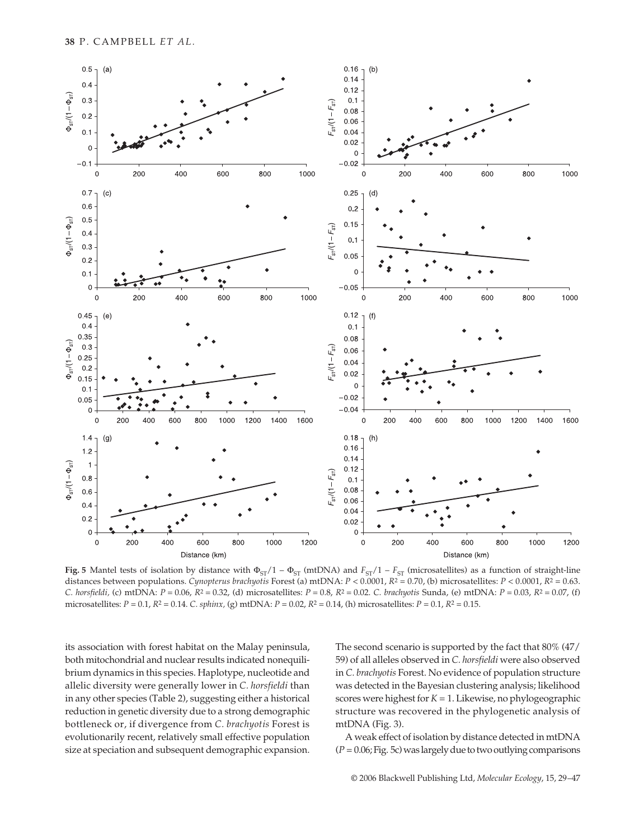

**Fig. 5** Mantel tests of isolation by distance with  $\Phi_{ST}/1 - \Phi_{ST}$  (mtDNA) and  $F_{ST}/1 - F_{ST}$  (microsatellites) as a function of straight-line distances between populations. *Cynopterus brachyotis* Forest (a) mtDNA: *P* < 0.0001, *R*<sup>2</sup> = 0.70, (b) microsatellites: *P* < 0.0001, *R*<sup>2</sup> = 0.63. *C. horsfieldi,* (c) mtDNA: *P* = 0.06, *R*<sup>2</sup> = 0.32, (d) microsatellites: *P* = 0.8, *R*<sup>2</sup> = 0.02. *C. brachyotis* Sunda, (e) mtDNA: *P* = 0.03, *R*<sup>2</sup> = 0.07, (f) microsatellites: *P* = 0.1, *R*<sup>2</sup> = 0.14. *C. sphinx,* (g) mtDNA: *P* = 0.02, *R*<sup>2</sup> = 0.14, (h) microsatellites: *P* = 0.1, *R*<sup>2</sup> = 0.15.

its association with forest habitat on the Malay peninsula, both mitochondrial and nuclear results indicated nonequilibrium dynamics in this species. Haplotype, nucleotide and allelic diversity were generally lower in *C. horsfieldi* than in any other species (Table 2), suggesting either a historical reduction in genetic diversity due to a strong demographic bottleneck or, if divergence from *C. brachyotis* Forest is evolutionarily recent, relatively small effective population size at speciation and subsequent demographic expansion. The second scenario is supported by the fact that 80% (47/ 59) of all alleles observed in *C. horsfieldi* were also observed in *C. brachyotis* Forest. No evidence of population structure was detected in the Bayesian clustering analysis; likelihood scores were highest for  $K = 1$ . Likewise, no phylogeographic structure was recovered in the phylogenetic analysis of mtDNA (Fig. 3).

A weak effect of isolation by distance detected in mtDNA  $(P = 0.06; Fig. 5c)$  was largely due to two outlying comparisons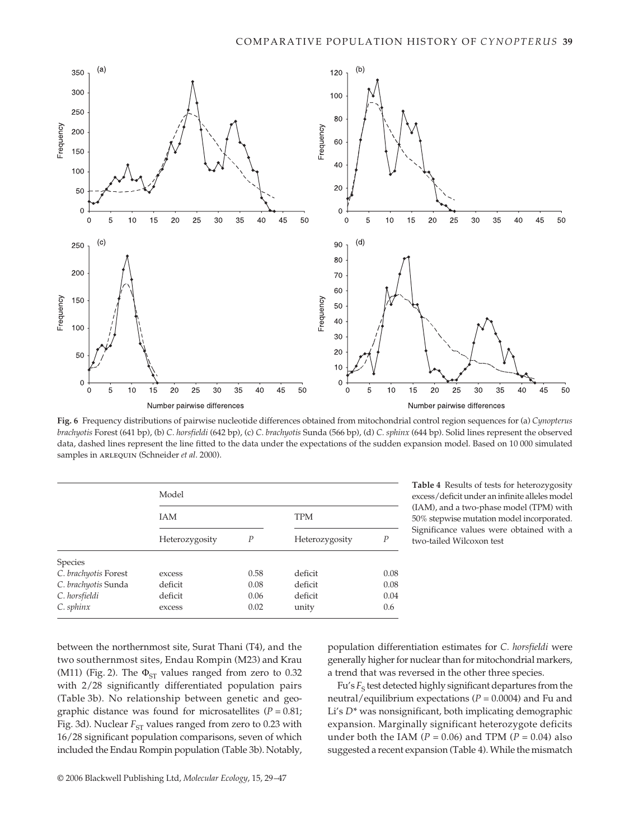

**Fig. 6** Frequency distributions of pairwise nucleotide differences obtained from mitochondrial control region sequences for (a) *Cynopterus brachyotis* Forest (641 bp), (b) *C. horsfieldi* (642 bp), (c) *C. brachyotis* Sunda (566 bp), (d) *C. sphinx* (644 bp). Solid lines represent the observed data, dashed lines represent the line fitted to the data under the expectations of the sudden expansion model. Based on 10 000 simulated samples in arlequin (Schneider *et al*. 2000).

|                      | Model          |                  |                |                  |  |  |  |  |
|----------------------|----------------|------------------|----------------|------------------|--|--|--|--|
|                      | IAM            |                  | <b>TPM</b>     |                  |  |  |  |  |
|                      | Heterozygosity | $\boldsymbol{P}$ | Heterozygosity | $\boldsymbol{P}$ |  |  |  |  |
| Species              |                |                  |                |                  |  |  |  |  |
| C. brachyotis Forest | excess         | 0.58             | deficit        | 0.08             |  |  |  |  |
| C. brachyotis Sunda  | deficit        | 0.08             | deficit        | 0.08             |  |  |  |  |
| C. horsfieldi        | deficit        | 0.06             | deficit        | 0.04             |  |  |  |  |
| C. sphinx            | excess         | 0.02             | unity          | 0.6              |  |  |  |  |

**Table 4** Results of tests for heterozygosity excess/deficit under an infinite alleles model (IAM), and a two-phase model (TPM) with 50% stepwise mutation model incorporated. Significance values were obtained with a two-tailed Wilcoxon test

between the northernmost site, Surat Thani (T4), and the two southernmost sites, Endau Rompin (M23) and Krau (M11) (Fig. 2). The  $\Phi_{ST}$  values ranged from zero to 0.32 with 2/28 significantly differentiated population pairs (Table 3b). No relationship between genetic and geographic distance was found for microsatellites  $(P = 0.81)$ ; Fig. 3d). Nuclear  $F_{ST}$  values ranged from zero to 0.23 with 16/28 significant population comparisons, seven of which included the Endau Rompin population (Table 3b). Notably, population differentiation estimates for *C. horsfieldi* were generally higher for nuclear than for mitochondrial markers, a trend that was reversed in the other three species.

Fu's  $F_S$  test detected highly significant departures from the neutral/equilibrium expectations ( $P = 0.0004$ ) and Fu and Li's *D*\* was nonsignificant, both implicating demographic expansion. Marginally significant heterozygote deficits under both the IAM ( $P = 0.06$ ) and TPM ( $P = 0.04$ ) also suggested a recent expansion (Table 4).While the mismatch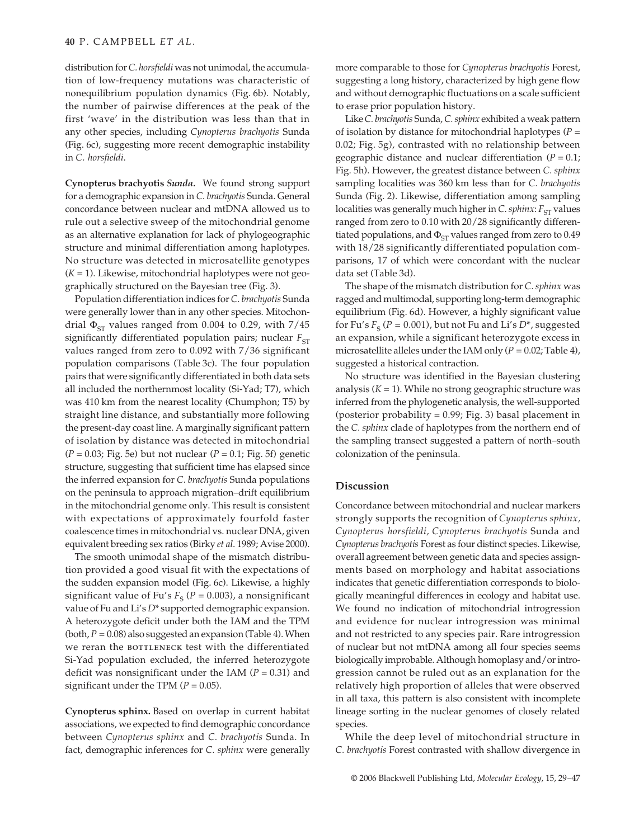distribution for *C. horsfieldi* was not unimodal, the accumulation of low-frequency mutations was characteristic of nonequilibrium population dynamics (Fig. 6b). Notably, the number of pairwise differences at the peak of the first 'wave' in the distribution was less than that in any other species, including *Cynopterus brachyotis* Sunda (Fig. 6c), suggesting more recent demographic instability in *C. horsfieldi*.

**Cynopterus brachyotis** *Sunda.* We found strong support for a demographic expansion in *C. brachyotis* Sunda. General concordance between nuclear and mtDNA allowed us to rule out a selective sweep of the mitochondrial genome as an alternative explanation for lack of phylogeographic structure and minimal differentiation among haplotypes. No structure was detected in microsatellite genotypes  $(K = 1)$ . Likewise, mitochondrial haplotypes were not geographically structured on the Bayesian tree (Fig. 3).

Population differentiation indices for *C. brachyotis* Sunda were generally lower than in any other species. Mitochondrial  $\Phi_{ST}$  values ranged from 0.004 to 0.29, with 7/45 significantly differentiated population pairs; nuclear  $F_{ST}$ values ranged from zero to 0.092 with 7/36 significant population comparisons (Table 3c). The four population pairs that were significantly differentiated in both data sets all included the northernmost locality (Si-Yad; T7), which was 410 km from the nearest locality (Chumphon; T5) by straight line distance, and substantially more following the present-day coast line. A marginally significant pattern of isolation by distance was detected in mitochondrial (*P =* 0.03; Fig. 5e) but not nuclear (*P =* 0.1; Fig. 5f) genetic structure, suggesting that sufficient time has elapsed since the inferred expansion for *C. brachyotis* Sunda populations on the peninsula to approach migration–drift equilibrium in the mitochondrial genome only. This result is consistent with expectations of approximately fourfold faster coalescence times in mitochondrial vs. nuclear DNA, given equivalent breeding sex ratios (Birky *et al*. 1989; Avise 2000).

The smooth unimodal shape of the mismatch distribution provided a good visual fit with the expectations of the sudden expansion model (Fig. 6c). Likewise, a highly significant value of Fu's  $F_S$  ( $P = 0.003$ ), a nonsignificant value of Fu and Li's *D*\* supported demographic expansion. A heterozygote deficit under both the IAM and the TPM (both,  $P = 0.08$ ) also suggested an expansion (Table 4). When we reran the BOTTLENECK test with the differentiated Si-Yad population excluded, the inferred heterozygote deficit was nonsignificant under the IAM ( $P = 0.31$ ) and significant under the TPM ( $P = 0.05$ ).

**Cynopterus sphinx.** Based on overlap in current habitat associations, we expected to find demographic concordance between *Cynopterus sphinx* and *C. brachyotis* Sunda. In fact, demographic inferences for *C. sphinx* were generally

more comparable to those for *Cynopterus brachyotis* Forest, suggesting a long history, characterized by high gene flow and without demographic fluctuations on a scale sufficient to erase prior population history.

Like*C. brachyotis* Sunda,*C.sphinx* exhibited a weak pattern of isolation by distance for mitochondrial haplotypes (*P =* 0.02; Fig. 5g), contrasted with no relationship between geographic distance and nuclear differentiation (*P =* 0.1; Fig. 5h). However, the greatest distance between *C. sphinx* sampling localities was 360 km less than for *C. brachyotis* Sunda (Fig. 2). Likewise, differentiation among sampling localities was generally much higher in *C. sphinx*:  $F_{ST}$  values ranged from zero to 0.10 with 20/28 significantly differentiated populations, and  $\Phi_{ST}$  values ranged from zero to 0.49 with 18/28 significantly differentiated population comparisons, 17 of which were concordant with the nuclear data set (Table 3d).

The shape of the mismatch distribution for *C. sphinx* was ragged and multimodal, supporting long-term demographic equilibrium (Fig. 6d). However, a highly significant value for Fu's  $F_S$  ( $P = 0.001$ ), but not Fu and Li's  $D^*$ , suggested an expansion, while a significant heterozygote excess in microsatellite alleles under the IAM only  $(P = 0.02;$  Table 4), suggested a historical contraction.

No structure was identified in the Bayesian clustering analysis (*K* = 1). While no strong geographic structure was inferred from the phylogenetic analysis, the well-supported (posterior probability = 0.99; Fig. 3) basal placement in the *C. sphinx* clade of haplotypes from the northern end of the sampling transect suggested a pattern of north–south colonization of the peninsula.

#### **Discussion**

Concordance between mitochondrial and nuclear markers strongly supports the recognition of *Cynopterus sphinx, Cynopterus horsfieldi, Cynopterus brachyotis* Sunda and *Cynopterus brachyotis* Forest as four distinct species. Likewise, overall agreement between genetic data and species assignments based on morphology and habitat associations indicates that genetic differentiation corresponds to biologically meaningful differences in ecology and habitat use. We found no indication of mitochondrial introgression and evidence for nuclear introgression was minimal and not restricted to any species pair. Rare introgression of nuclear but not mtDNA among all four species seems biologically improbable. Although homoplasy and/or introgression cannot be ruled out as an explanation for the relatively high proportion of alleles that were observed in all taxa, this pattern is also consistent with incomplete lineage sorting in the nuclear genomes of closely related species.

While the deep level of mitochondrial structure in *C. brachyotis* Forest contrasted with shallow divergence in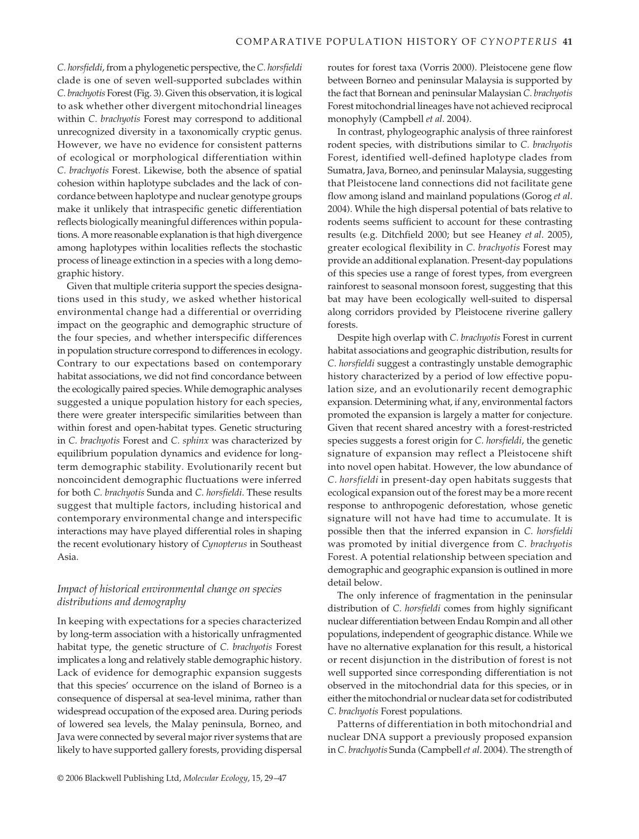*C. horsfieldi*, from a phylogenetic perspective, the *C. horsfieldi* clade is one of seven well-supported subclades within *C. brachyotis* Forest (Fig. 3). Given this observation, it is logical to ask whether other divergent mitochondrial lineages within *C. brachyotis* Forest may correspond to additional unrecognized diversity in a taxonomically cryptic genus. However, we have no evidence for consistent patterns of ecological or morphological differentiation within *C. brachyotis* Forest. Likewise, both the absence of spatial cohesion within haplotype subclades and the lack of concordance between haplotype and nuclear genotype groups make it unlikely that intraspecific genetic differentiation reflects biologically meaningful differences within populations. A more reasonable explanation is that high divergence among haplotypes within localities reflects the stochastic process of lineage extinction in a species with a long demographic history.

Given that multiple criteria support the species designations used in this study, we asked whether historical environmental change had a differential or overriding impact on the geographic and demographic structure of the four species, and whether interspecific differences in population structure correspond to differences in ecology. Contrary to our expectations based on contemporary habitat associations, we did not find concordance between the ecologically paired species. While demographic analyses suggested a unique population history for each species, there were greater interspecific similarities between than within forest and open-habitat types. Genetic structuring in *C. brachyotis* Forest and *C. sphinx* was characterized by equilibrium population dynamics and evidence for longterm demographic stability. Evolutionarily recent but noncoincident demographic fluctuations were inferred for both *C. brachyotis* Sunda and *C. horsfieldi*. These results suggest that multiple factors, including historical and contemporary environmental change and interspecific interactions may have played differential roles in shaping the recent evolutionary history of *Cynopterus* in Southeast Asia.

# *Impact of historical environmental change on species distributions and demography*

In keeping with expectations for a species characterized by long-term association with a historically unfragmented habitat type, the genetic structure of *C. brachyotis* Forest implicates a long and relatively stable demographic history. Lack of evidence for demographic expansion suggests that this species' occurrence on the island of Borneo is a consequence of dispersal at sea-level minima, rather than widespread occupation of the exposed area. During periods of lowered sea levels, the Malay peninsula, Borneo, and Java were connected by several major river systems that are likely to have supported gallery forests, providing dispersal

routes for forest taxa (Vorris 2000). Pleistocene gene flow between Borneo and peninsular Malaysia is supported by the fact that Bornean and peninsular Malaysian *C. brachyotis* Forest mitochondrial lineages have not achieved reciprocal monophyly (Campbell *et al*. 2004).

In contrast, phylogeographic analysis of three rainforest rodent species, with distributions similar to *C. brachyotis* Forest, identified well-defined haplotype clades from Sumatra,Java, Borneo, and peninsular Malaysia, suggesting that Pleistocene land connections did not facilitate gene flow among island and mainland populations (Gorog *et al*. 2004). While the high dispersal potential of bats relative to rodents seems sufficient to account for these contrasting results (e.g. Ditchfield 2000; but see Heaney *et al*. 2005), greater ecological flexibility in *C. brachyotis* Forest may provide an additional explanation. Present-day populations of this species use a range of forest types, from evergreen rainforest to seasonal monsoon forest, suggesting that this bat may have been ecologically well-suited to dispersal along corridors provided by Pleistocene riverine gallery forests.

Despite high overlap with *C. brachyotis* Forest in current habitat associations and geographic distribution, results for *C. horsfieldi* suggest a contrastingly unstable demographic history characterized by a period of low effective population size, and an evolutionarily recent demographic expansion. Determining what, if any, environmental factors promoted the expansion is largely a matter for conjecture. Given that recent shared ancestry with a forest-restricted species suggests a forest origin for *C. horsfieldi*, the genetic signature of expansion may reflect a Pleistocene shift into novel open habitat*.* However, the low abundance of *C. horsfieldi* in present-day open habitats suggests that ecological expansion out of the forest may be a more recent response to anthropogenic deforestation, whose genetic signature will not have had time to accumulate. It is possible then that the inferred expansion in *C. horsfieldi* was promoted by initial divergence from *C. brachyotis* Forest. A potential relationship between speciation and demographic and geographic expansion is outlined in more detail below.

The only inference of fragmentation in the peninsular distribution of *C. horsfieldi* comes from highly significant nuclear differentiation between Endau Rompin and all other populations, independent of geographic distance. While we have no alternative explanation for this result, a historical or recent disjunction in the distribution of forest is not well supported since corresponding differentiation is not observed in the mitochondrial data for this species, or in either the mitochondrial or nuclear data set for codistributed *C. brachyotis* Forest populations.

Patterns of differentiation in both mitochondrial and nuclear DNA support a previously proposed expansion in *C. brachyotis* Sunda (Campbell*et al*. 2004). The strength of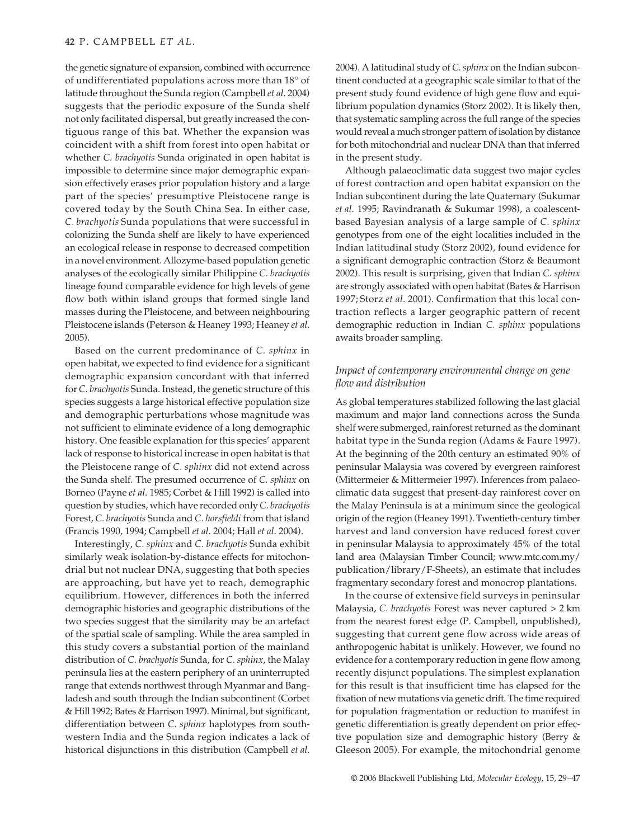the genetic signature of expansion, combined with occurrence of undifferentiated populations across more than 18 of latitude throughout the Sunda region (Campbell*et al*. 2004) suggests that the periodic exposure of the Sunda shelf not only facilitated dispersal, but greatly increased the contiguous range of this bat. Whether the expansion was coincident with a shift from forest into open habitat or whether *C. brachyotis* Sunda originated in open habitat is impossible to determine since major demographic expansion effectively erases prior population history and a large part of the species' presumptive Pleistocene range is covered today by the South China Sea. In either case, *C. brachyotis* Sunda populations that were successful in colonizing the Sunda shelf are likely to have experienced an ecological release in response to decreased competition in a novel environment. Allozyme-based population genetic analyses of the ecologically similar Philippine *C. brachyotis* lineage found comparable evidence for high levels of gene flow both within island groups that formed single land masses during the Pleistocene, and between neighbouring Pleistocene islands (Peterson & Heaney 1993; Heaney *et al*. 2005).

Based on the current predominance of *C. sphinx* in open habitat, we expected to find evidence for a significant demographic expansion concordant with that inferred for *C. brachyotis* Sunda. Instead, the genetic structure of this species suggests a large historical effective population size and demographic perturbations whose magnitude was not sufficient to eliminate evidence of a long demographic history. One feasible explanation for this species' apparent lack of response to historical increase in open habitat is that the Pleistocene range of *C. sphinx* did not extend across the Sunda shelf. The presumed occurrence of *C. sphinx* on Borneo (Payne *et al*. 1985; Corbet & Hill 1992) is called into question by studies, which have recorded only *C. brachyotis* Forest, *C. brachyotis* Sunda and *C. horsfieldi* from that island (Francis 1990, 1994; Campbell *et al*. 2004; Hall *et al*. 2004).

Interestingly, *C. sphinx* and *C. brachyotis* Sunda exhibit similarly weak isolation-by-distance effects for mitochondrial but not nuclear DNA, suggesting that both species are approaching, but have yet to reach, demographic equilibrium. However, differences in both the inferred demographic histories and geographic distributions of the two species suggest that the similarity may be an artefact of the spatial scale of sampling. While the area sampled in this study covers a substantial portion of the mainland distribution of *C. brachyotis* Sunda, for *C. sphinx*, the Malay peninsula lies at the eastern periphery of an uninterrupted range that extends northwest through Myanmar and Bangladesh and south through the Indian subcontinent (Corbet & Hill 1992; Bates & Harrison 1997). Minimal, but significant, differentiation between *C. sphinx* haplotypes from southwestern India and the Sunda region indicates a lack of historical disjunctions in this distribution (Campbell *et al*. 2004). A latitudinal study of *C.sphinx* on the Indian subcontinent conducted at a geographic scale similar to that of the present study found evidence of high gene flow and equilibrium population dynamics (Storz 2002). It is likely then, that systematic sampling across the full range of the species would reveal a much stronger pattern of isolation by distance for both mitochondrial and nuclear DNA than that inferred in the present study.

Although palaeoclimatic data suggest two major cycles of forest contraction and open habitat expansion on the Indian subcontinent during the late Quaternary (Sukumar *et al*. 1995; Ravindranath & Sukumar 1998), a coalescentbased Bayesian analysis of a large sample of *C. sphinx* genotypes from one of the eight localities included in the Indian latitudinal study (Storz 2002), found evidence for a significant demographic contraction (Storz & Beaumont 2002). This result is surprising, given that Indian *C. sphinx* are strongly associated with open habitat (Bates & Harrison 1997; Storz *et al*. 2001). Confirmation that this local contraction reflects a larger geographic pattern of recent demographic reduction in Indian *C. sphinx* populations awaits broader sampling.

# *Impact of contemporary environmental change on gene flow and distribution*

As global temperatures stabilized following the last glacial maximum and major land connections across the Sunda shelf were submerged, rainforest returned as the dominant habitat type in the Sunda region (Adams & Faure 1997). At the beginning of the 20th century an estimated 90% of peninsular Malaysia was covered by evergreen rainforest (Mittermeier & Mittermeier 1997). Inferences from palaeoclimatic data suggest that present-day rainforest cover on the Malay Peninsula is at a minimum since the geological origin of the region (Heaney 1991). Twentieth-century timber harvest and land conversion have reduced forest cover in peninsular Malaysia to approximately 45% of the total land area (Malaysian Timber Council; www.mtc.com.my/ publication/library/F-Sheets), an estimate that includes fragmentary secondary forest and monocrop plantations.

In the course of extensive field surveys in peninsular Malaysia, *C. brachyotis* Forest was never captured > 2 km from the nearest forest edge (P. Campbell, unpublished), suggesting that current gene flow across wide areas of anthropogenic habitat is unlikely. However, we found no evidence for a contemporary reduction in gene flow among recently disjunct populations. The simplest explanation for this result is that insufficient time has elapsed for the fixation of new mutations via genetic drift. The time required for population fragmentation or reduction to manifest in genetic differentiation is greatly dependent on prior effective population size and demographic history (Berry & Gleeson 2005). For example, the mitochondrial genome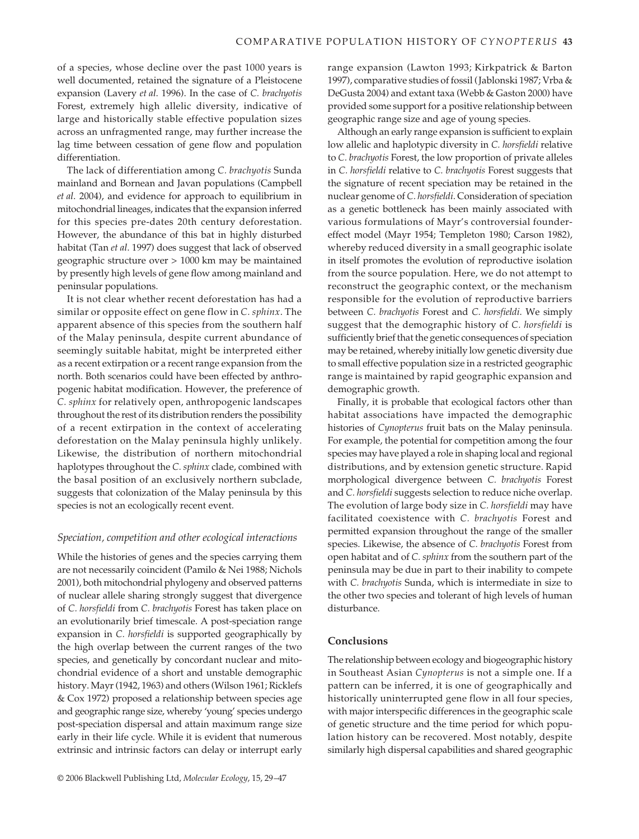of a species, whose decline over the past 1000 years is well documented, retained the signature of a Pleistocene expansion (Lavery *et al*. 1996). In the case of *C. brachyotis* Forest, extremely high allelic diversity, indicative of large and historically stable effective population sizes across an unfragmented range, may further increase the lag time between cessation of gene flow and population differentiation.

The lack of differentiation among *C. brachyotis* Sunda mainland and Bornean and Javan populations (Campbell *et al*. 2004), and evidence for approach to equilibrium in mitochondrial lineages, indicates that the expansion inferred for this species pre-dates 20th century deforestation. However, the abundance of this bat in highly disturbed habitat (Tan *et al*. 1997) does suggest that lack of observed geographic structure over > 1000 km may be maintained by presently high levels of gene flow among mainland and peninsular populations.

It is not clear whether recent deforestation has had a similar or opposite effect on gene flow in *C. sphinx*. The apparent absence of this species from the southern half of the Malay peninsula, despite current abundance of seemingly suitable habitat, might be interpreted either as a recent extirpation or a recent range expansion from the north. Both scenarios could have been effected by anthropogenic habitat modification. However, the preference of *C. sphinx* for relatively open, anthropogenic landscapes throughout the rest of its distribution renders the possibility of a recent extirpation in the context of accelerating deforestation on the Malay peninsula highly unlikely. Likewise, the distribution of northern mitochondrial haplotypes throughout the *C. sphinx* clade, combined with the basal position of an exclusively northern subclade, suggests that colonization of the Malay peninsula by this species is not an ecologically recent event.

#### *Speciation, competition and other ecological interactions*

While the histories of genes and the species carrying them are not necessarily coincident (Pamilo & Nei 1988; Nichols 2001), both mitochondrial phylogeny and observed patterns of nuclear allele sharing strongly suggest that divergence of *C. horsfieldi* from *C. brachyotis* Forest has taken place on an evolutionarily brief timescale. A post-speciation range expansion in *C. horsfieldi* is supported geographically by the high overlap between the current ranges of the two species, and genetically by concordant nuclear and mitochondrial evidence of a short and unstable demographic history. Mayr (1942, 1963) and others (Wilson 1961; Ricklefs & Cox 1972) proposed a relationship between species age and geographic range size, whereby 'young' species undergo post-speciation dispersal and attain maximum range size early in their life cycle. While it is evident that numerous extrinsic and intrinsic factors can delay or interrupt early range expansion (Lawton 1993; Kirkpatrick & Barton 1997), comparative studies of fossil (Jablonski 1987; Vrba & DeGusta 2004) and extant taxa (Webb & Gaston 2000) have provided some support for a positive relationship between geographic range size and age of young species.

Although an early range expansion is sufficient to explain low allelic and haplotypic diversity in *C. horsfieldi* relative to *C. brachyotis* Forest, the low proportion of private alleles in *C. horsfieldi* relative to *C. brachyotis* Forest suggests that the signature of recent speciation may be retained in the nuclear genome of *C. horsfieldi*. Consideration of speciation as a genetic bottleneck has been mainly associated with various formulations of Mayr's controversial foundereffect model (Mayr 1954; Templeton 1980; Carson 1982), whereby reduced diversity in a small geographic isolate in itself promotes the evolution of reproductive isolation from the source population. Here, we do not attempt to reconstruct the geographic context, or the mechanism responsible for the evolution of reproductive barriers between *C. brachyotis* Forest and *C. horsfieldi*. We simply suggest that the demographic history of *C. horsfieldi* is sufficiently brief that the genetic consequences of speciation may be retained, whereby initially low genetic diversity due to small effective population size in a restricted geographic range is maintained by rapid geographic expansion and demographic growth.

Finally, it is probable that ecological factors other than habitat associations have impacted the demographic histories of *Cynopterus* fruit bats on the Malay peninsula. For example, the potential for competition among the four species may have played a role in shaping local and regional distributions, and by extension genetic structure. Rapid morphological divergence between *C. brachyotis* Forest and *C. horsfieldi* suggests selection to reduce niche overlap. The evolution of large body size in *C. horsfieldi* may have facilitated coexistence with *C. brachyotis* Forest and permitted expansion throughout the range of the smaller species. Likewise, the absence of *C. brachyotis* Forest from open habitat and of *C. sphinx* from the southern part of the peninsula may be due in part to their inability to compete with *C. brachyotis* Sunda, which is intermediate in size to the other two species and tolerant of high levels of human disturbance.

#### **Conclusions**

The relationship between ecology and biogeographic history in Southeast Asian *Cynopterus* is not a simple one. If a pattern can be inferred, it is one of geographically and historically uninterrupted gene flow in all four species, with major interspecific differences in the geographic scale of genetic structure and the time period for which population history can be recovered. Most notably, despite similarly high dispersal capabilities and shared geographic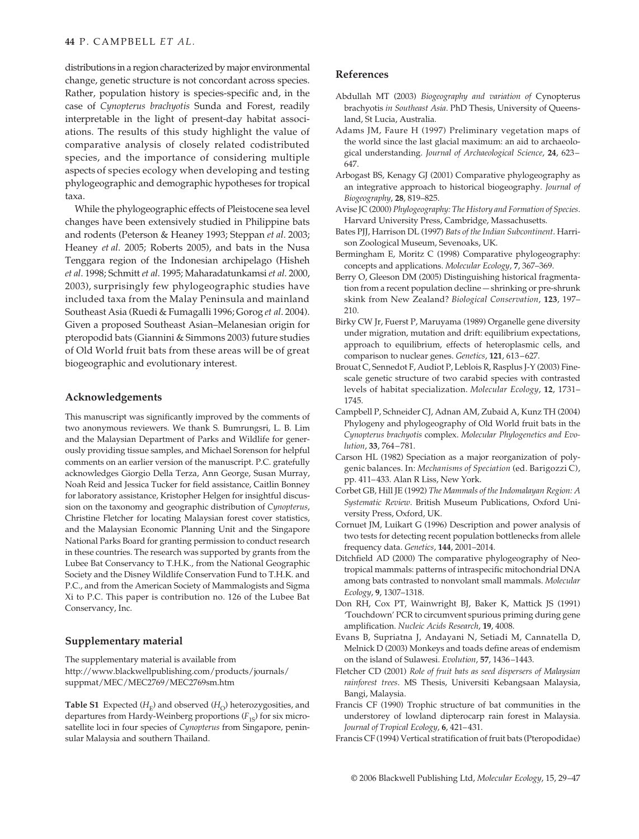distributions in a region characterized by major environmental change, genetic structure is not concordant across species. Rather, population history is species-specific and, in the case of *Cynopterus brachyotis* Sunda and Forest, readily interpretable in the light of present-day habitat associations. The results of this study highlight the value of comparative analysis of closely related codistributed species, and the importance of considering multiple aspects of species ecology when developing and testing phylogeographic and demographic hypotheses for tropical taxa.

While the phylogeographic effects of Pleistocene sea level changes have been extensively studied in Philippine bats and rodents (Peterson & Heaney 1993; Steppan *et al*. 2003; Heaney *et al*. 2005; Roberts 2005), and bats in the Nusa Tenggara region of the Indonesian archipelago (Hisheh *et al*. 1998; Schmitt *et al*. 1995; Maharadatunkamsi *et al*. 2000, 2003), surprisingly few phylogeographic studies have included taxa from the Malay Peninsula and mainland Southeast Asia (Ruedi & Fumagalli 1996; Gorog *et al*. 2004). Given a proposed Southeast Asian–Melanesian origin for pteropodid bats (Giannini & Simmons 2003) future studies of Old World fruit bats from these areas will be of great biogeographic and evolutionary interest.

## **Acknowledgements**

This manuscript was significantly improved by the comments of two anonymous reviewers. We thank S. Bumrungsri, L. B. Lim and the Malaysian Department of Parks and Wildlife for generously providing tissue samples, and Michael Sorenson for helpful comments on an earlier version of the manuscript. P.C. gratefully acknowledges Giorgio Della Terza, Ann George, Susan Murray, Noah Reid and Jessica Tucker for field assistance, Caitlin Bonney for laboratory assistance, Kristopher Helgen for insightful discussion on the taxonomy and geographic distribution of *Cynopterus*, Christine Fletcher for locating Malaysian forest cover statistics, and the Malaysian Economic Planning Unit and the Singapore National Parks Board for granting permission to conduct research in these countries. The research was supported by grants from the Lubee Bat Conservancy to T.H.K., from the National Geographic Society and the Disney Wildlife Conservation Fund to T.H.K. and P.C., and from the American Society of Mammalogists and Sigma Xi to P.C. This paper is contribution no. 126 of the Lubee Bat Conservancy, Inc.

# **Supplementary material**

The supplementary material is available from http://www.blackwellpublishing.com/products/journals/ suppmat/MEC/MEC2769/MEC2769sm.htm

**Table S1** Expected  $(H_E)$  and observed  $(H_O)$  heterozygosities, and departures from Hardy-Weinberg proportions  $(F_{1S})$  for six microsatellite loci in four species of *Cynopterus* from Singapore, peninsular Malaysia and southern Thailand.

## **References**

- Abdullah MT (2003) *Biogeography and variation of* Cynopterus brachyotis *in Southeast Asia*. PhD Thesis, University of Queensland, St Lucia, Australia.
- Adams JM, Faure H (1997) Preliminary vegetation maps of the world since the last glacial maximum: an aid to archaeological understanding. *Journal of Archaeological Science*, **24**, 623– 647.
- Arbogast BS, Kenagy GJ (2001) Comparative phylogeography as an integrative approach to historical biogeography. *Journal of Biogeography*, **28**, 819–825.
- Avise JC (2000) *Phylogeography: The History and Formation of Species*. Harvard University Press, Cambridge, Massachusetts.
- Bates PJJ, Harrison DL (1997) *Bats of the Indian Subcontinent*. Harrison Zoological Museum, Sevenoaks, UK.
- Bermingham E, Moritz C (1998) Comparative phylogeography: concepts and applications. *Molecular Ecology*, **7**, 367–369.
- Berry O, Gleeson DM (2005) Distinguishing historical fragmentation from a recent population decline — shrinking or pre-shrunk skink from New Zealand? *Biological Conservation*, **123**, 197– 210.
- Birky CW Jr, Fuerst P, Maruyama (1989) Organelle gene diversity under migration, mutation and drift: equilibrium expectations, approach to equilibrium, effects of heteroplasmic cells, and comparison to nuclear genes. *Genetics*, **121**, 613–627.
- Brouat C, Sennedot F, Audiot P, Leblois R, Rasplus J-Y (2003) Finescale genetic structure of two carabid species with contrasted levels of habitat specialization. *Molecular Ecology*, **12**, 1731– 1745.
- Campbell P, Schneider CJ, Adnan AM, Zubaid A, Kunz TH (2004) Phylogeny and phylogeography of Old World fruit bats in the *Cynopterus brachyotis* complex. *Molecular Phylogenetics and Evolution*, **33**, 764–781.
- Carson HL (1982) Speciation as a major reorganization of polygenic balances. In: *Mechanisms of Speciation* (ed. Barigozzi C), pp. 411–433. Alan R Liss, New York.
- Corbet GB, Hill JE (1992) *The Mammals of the Indomalayan Region: A Systematic Review*. British Museum Publications, Oxford University Press, Oxford, UK.
- Cornuet JM, Luikart G (1996) Description and power analysis of two tests for detecting recent population bottlenecks from allele frequency data. *Genetics*, **144**, 2001–2014.
- Ditchfield AD (2000) The comparative phylogeography of Neotropical mammals: patterns of intraspecific mitochondrial DNA among bats contrasted to nonvolant small mammals. *Molecular Ecology*, **9**, 1307–1318.
- Don RH, Cox PT, Wainwright BJ, Baker K, Mattick JS (1991) 'Touchdown' PCR to circumvent spurious priming during gene amplification. *Nucleic Acids Research*, **19**, 4008.
- Evans B, Supriatna J, Andayani N, Setiadi M, Cannatella D, Melnick D (2003) Monkeys and toads define areas of endemism on the island of Sulawesi. *Evolution*, **57**, 1436–1443.
- Fletcher CD (2001) *Role of fruit bats as seed dispersers of Malaysian rainforest trees*. MS Thesis, Universiti Kebangsaan Malaysia, Bangi, Malaysia.
- Francis CF (1990) Trophic structure of bat communities in the understorey of lowland dipterocarp rain forest in Malaysia. *Journal of Tropical Ecology*, **6**, 421–431.
- Francis CF (1994) Vertical stratification of fruit bats (Pteropodidae)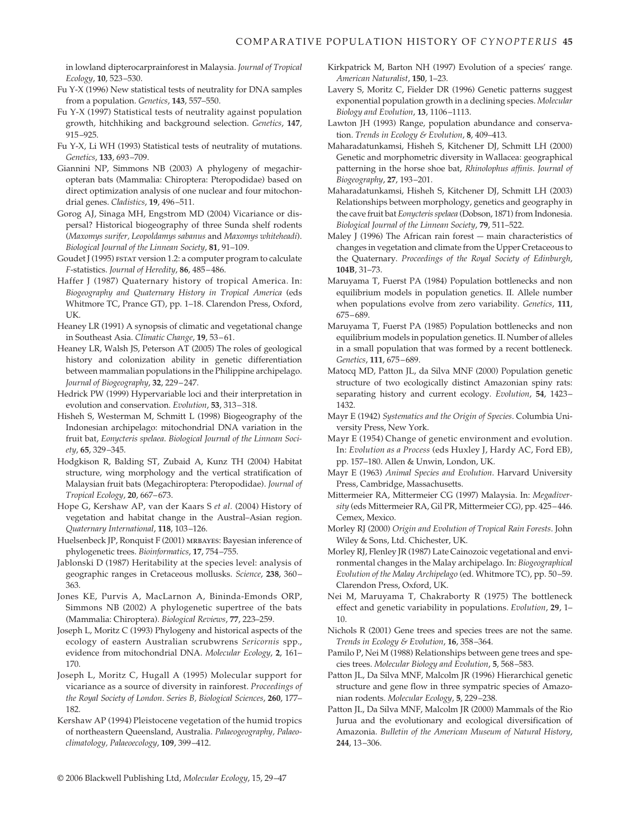in lowland dipterocarprainforest in Malaysia. *Journal of Tropical Ecology*, **10**, 523–530.

- Fu Y-X (1996) New statistical tests of neutrality for DNA samples from a population. *Genetics*, **143**, 557–550.
- Fu Y-X (1997) Statistical tests of neutrality against population growth, hitchhiking and background selection. *Genetics*, **147**, 915–925.
- Fu Y-X, Li WH (1993) Statistical tests of neutrality of mutations. *Genetics*, **133**, 693–709.
- Giannini NP, Simmons NB (2003) A phylogeny of megachiropteran bats (Mammalia: Chiroptera: Pteropodidae) based on direct optimization analysis of one nuclear and four mitochondrial genes. *Cladistics*, **19**, 496–511.
- Gorog AJ, Sinaga MH, Engstrom MD (2004) Vicariance or dispersal? Historical biogeography of three Sunda shelf rodents (*Maxomys surifer, Leopoldamys sabanus* and *Maxomys whiteheadi*). *Biological Journal of the Linnean Society*, **81**, 91–109.
- Goudet J (1995) FSTAT version 1.2: a computer program to calculate *F*-statistics. *Journal of Heredity*, **86**, 485–486.
- Haffer J (1987) Quaternary history of tropical America. In: *Biogeography and Quaternary History in Tropical America* (eds Whitmore TC, Prance GT), pp. 1–18. Clarendon Press, Oxford, UK.
- Heaney LR (1991) A synopsis of climatic and vegetational change in Southeast Asia. *Climatic Change*, **19**, 53–61.
- Heaney LR, Walsh JS, Peterson AT (2005) The roles of geological history and colonization ability in genetic differentiation between mammalian populations in the Philippine archipelago. *Journal of Biogeography*, **32**, 229–247.
- Hedrick PW (1999) Hypervariable loci and their interpretation in evolution and conservation. *Evolution*, **53**, 313–318.
- Hisheh S, Westerman M, Schmitt L (1998) Biogeography of the Indonesian archipelago: mitochondrial DNA variation in the fruit bat, *Eonycteris spelaea*. *Biological Journal of the Linnean Society*, **65**, 329–345.
- Hodgkison R, Balding ST, Zubaid A, Kunz TH (2004) Habitat structure, wing morphology and the vertical stratification of Malaysian fruit bats (Megachiroptera: Pteropodidae). *Journal of Tropical Ecology*, **20**, 667–673.
- Hope G, Kershaw AP, van der Kaars S *et al.* (2004) History of vegetation and habitat change in the Austral–Asian region. *Quaternary International*, **118**, 103–126.
- Huelsenbeck JP, Ronquist F (2001) MRBAYES: Bayesian inference of phylogenetic trees. *Bioinformatics*, **17**, 754–755.
- Jablonski D (1987) Heritability at the species level: analysis of geographic ranges in Cretaceous mollusks. *Science*, **238**, 360– 363.
- Jones KE, Purvis A, MacLarnon A, Bininda-Emonds ORP, Simmons NB (2002) A phylogenetic supertree of the bats (Mammalia: Chiroptera). *Biological Reviews*, **77**, 223–259.
- Joseph L, Moritz C (1993) Phylogeny and historical aspects of the ecology of eastern Australian scrubwrens *Sericornis* spp., evidence from mitochondrial DNA. *Molecular Ecology*, **2**, 161– 170.
- Joseph L, Moritz C, Hugall A (1995) Molecular support for vicariance as a source of diversity in rainforest. *Proceedings of the Royal Society of London*. *Series B, Biological Sciences*, **260**, 177– 182.
- Kershaw AP (1994) Pleistocene vegetation of the humid tropics of northeastern Queensland, Australia. *Palaeogeography, Palaeoclimatology, Palaeoecology*, **109**, 399–412.
- Kirkpatrick M, Barton NH (1997) Evolution of a species' range. *American Naturalist*, **150**, 1–23.
- Lavery S, Moritz C, Fielder DR (1996) Genetic patterns suggest exponential population growth in a declining species. *Molecular Biology and Evolution*, **13**, 1106–1113.
- Lawton JH (1993) Range, population abundance and conservation. *Trends in Ecology & Evolution*, **8**, 409–413.
- Maharadatunkamsi, Hisheh S, Kitchener DJ, Schmitt LH (2000) Genetic and morphometric diversity in Wallacea: geographical patterning in the horse shoe bat, *Rhinolophus affinis*. *Journal of Biogeography*, **27**, 193–201.
- Maharadatunkamsi, Hisheh S, Kitchener DJ, Schmitt LH (2003) Relationships between morphology, genetics and geography in the cave fruit bat *Eonycterisspelaea* (Dobson, 1871) from Indonesia. *Biological Journal of the Linnean Society*, **79**, 511–522.
- Maley J (1996) The African rain forest main characteristics of changes in vegetation and climate from the Upper Cretaceous to the Quaternary. *Proceedings of the Royal Society of Edinburgh*, **104B**, 31–73.
- Maruyama T, Fuerst PA (1984) Population bottlenecks and non equilibrium models in population genetics. II. Allele number when populations evolve from zero variability. *Genetics*, **111**, 675–689.
- Maruyama T, Fuerst PA (1985) Population bottlenecks and non equilibrium models in population genetics. II. Number of alleles in a small population that was formed by a recent bottleneck. *Genetics*, **111**, 675–689.
- Matocq MD, Patton JL, da Silva MNF (2000) Population genetic structure of two ecologically distinct Amazonian spiny rats: separating history and current ecology. *Evolution*, **54**, 1423– 1432.
- Mayr E (1942) *Systematics and the Origin of Species*. Columbia University Press, New York.
- Mayr E (1954) Change of genetic environment and evolution. In: *Evolution as a Process* (eds Huxley J, Hardy AC, Ford EB), pp. 157–180. Allen & Unwin, London, UK.
- Mayr E (1963) *Animal Species and Evolution*. Harvard University Press, Cambridge, Massachusetts.
- Mittermeier RA, Mittermeier CG (1997) Malaysia. In: *Megadiversity* (eds Mittermeier RA, Gil PR, Mittermeier CG), pp. 425–446. Cemex, Mexico.
- Morley RJ (2000) *Origin and Evolution of Tropical Rain Forests*. John Wiley & Sons, Ltd. Chichester, UK.
- Morley RJ, Flenley JR (1987) Late Cainozoic vegetational and environmental changes in the Malay archipelago. In: *Biogeographical Evolution of the Malay Archipelago* (ed. Whitmore TC), pp. 50–59. Clarendon Press, Oxford, UK.
- Nei M, Maruyama T, Chakraborty R (1975) The bottleneck effect and genetic variability in populations. *Evolution*, **29**, 1– 10.
- Nichols R (2001) Gene trees and species trees are not the same. *Trends in Ecology & Evolution*, **16**, 358–364.
- Pamilo P, Nei M (1988) Relationships between gene trees and species trees. *Molecular Biology and Evolution*, **5**, 568–583.
- Patton JL, Da Silva MNF, Malcolm JR (1996) Hierarchical genetic structure and gene flow in three sympatric species of Amazonian rodents. *Molecular Ecology*, **5**, 229–238.
- Patton JL, Da Silva MNF, Malcolm JR (2000) Mammals of the Rio Jurua and the evolutionary and ecological diversification of Amazonia. *Bulletin of the American Museum of Natural History*, **244**, 13–306.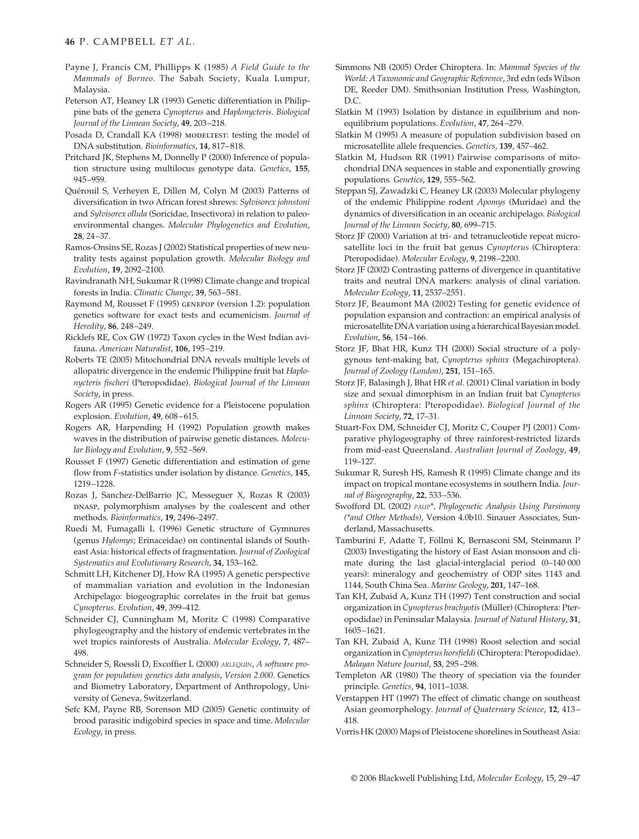#### **46** P. CAMPBELL *ET AL.*

- Payne J, Francis CM, Phillipps K (1985) *A Field Guide to the Mammals of Borneo*. The Sabah Society, Kuala Lumpur, Malaysia.
- Peterson AT, Heaney LR (1993) Genetic differentiation in Philippine bats of the genera *Cynopterus* and *Haplonycteris*. *Biological Journal of the Linnean Society*, **49**, 203–218.
- Posada D, Crandall KA (1998) MODELTEST: testing the model of DNA substitution. *Bioinformatics*, **14**, 817–818.
- Pritchard JK, Stephens M, Donnelly P (2000) Inference of population structure using multilocus genotype data. *Genetics*, **155**, 945–959.
- Quérouil S, Verheyen E, Dillen M, Colyn M (2003) Patterns of diversification in two African forest shrews: *Sylvisorex johnstoni* and *Sylvisorex ollula* (Soricidae, Insectivora) in relation to paleoenvironmental changes. *Molecular Phylogenetics and Evolution*, **28**, 24–37.
- Ramos-Onsins SE, Rozas J (2002) Statistical properties of new neutrality tests against population growth. *Molecular Biology and Evolution*, **19**, 2092–2100.
- Ravindranath NH, Sukumar R (1998) Climate change and tropical forests in India. *Climatic Change*, **39**, 563–581.
- Raymond M, Rousset F (1995) genepop (version 1.2): population genetics software for exact tests and ecumenicism. *Journal of Heredity*, **86**, 248–249.
- Ricklefs RE, Cox GW (1972) Taxon cycles in the West Indian avifauna. *American Naturalist*, **106**, 195–219.
- Roberts TE (2005) Mitochondrial DNA reveals multiple levels of allopatric divergence in the endemic Philippine fruit bat *Haplonycteris fischeri* (Pteropodidae). *Biological Journal of the Linnean Society*, in press.
- Rogers AR (1995) Genetic evidence for a Pleistocene population explosion. *Evolution*, **49**, 608–615.
- Rogers AR, Harpending H (1992) Population growth makes waves in the distribution of pairwise genetic distances. *Molecular Biology and Evolution*, **9**, 552–569.
- Rousset F (1997) Genetic differentiation and estimation of gene flow from *F*-statistics under isolation by distance. *Genetics*, **145**, 1219–1228.
- Rozas J, Sanchez-DelBarrio JC, Messeguer X, Rozas R (2003) pNASP, polymorphism analyses by the coalescent and other methods. *Bioinformatics*, **19**, 2496–2497.
- Ruedi M, Fumagalli L (1996) Genetic structure of Gymnures (genus *Hylomys*; Erinaceidae) on continental islands of Southeast Asia: historical effects of fragmentation. *Journal of Zoological Systematics and Evolutionary Research*, **34**, 153–162.
- Schmitt LH, Kitchener DJ, How RA (1995) A genetic perspective of mammalian variation and evolution in the Indonesian Archipelago: biogeographic correlates in the fruit bat genus *Cynopterus*. *Evolution*, **49**, 399–412.
- Schneider CJ, Cunningham M, Moritz C (1998) Comparative phylogeography and the history of endemic vertebrates in the wet tropics rainforests of Australia. *Molecular Ecology*, **7**, 487– 498.
- Schneider S, Roessli D, Excoffier L (2000) *ARLEQUIN*, *A software program for population genetics data analysis*, *Version 2.000.* Genetics and Biometry Laboratory, Department of Anthropology, University of Geneva, Switzerland.
- Sefc KM, Payne RB, Sorenson MD (2005) Genetic continuity of brood parasitic indigobird species in space and time. *Molecular Ecology*, in press.
- Simmons NB (2005) Order Chiroptera. In: *Mammal Species of the World: A Taxonomic and Geographic Reference*, 3rd edn (eds Wilson DE, Reeder DM). Smithsonian Institution Press, Washington, D.C.
- Slatkin M (1993) Isolation by distance in equilibrium and nonequilibrium populations. *Evolution*, **47**, 264–279.
- Slatkin M (1995) A measure of population subdivision based on microsatellite allele frequencies. *Genetics*, **139**, 457–462.
- Slatkin M, Hudson RR (1991) Pairwise comparisons of mitochondrial DNA sequences in stable and exponentially growing populations. *Genetics*, **129**, 555–562.
- Steppan SJ, Zawadzki C, Heaney LR (2003) Molecular phylogeny of the endemic Philippine rodent *Apomys* (Muridae) and the dynamics of diversification in an oceanic archipelago. *Biological Journal of the Linnean Society*, **80**, 699–715.
- Storz JF (2000) Variation at tri- and tetranucleotide repeat microsatellite loci in the fruit bat genus *Cynopterus* (Chiroptera: Pteropodidae). *Molecular Ecology*, **9**, 2198–2200.
- Storz JF (2002) Contrasting patterns of divergence in quantitative traits and neutral DNA markers: analysis of clinal variation. *Molecular Ecology*, **11**, 2537–2551.
- Storz JF, Beaumont MA (2002) Testing for genetic evidence of population expansion and contraction: an empirical analysis of microsatellite DNA variation using a hierarchical Bayesian model. *Evolution*, **56**, 154–166.
- Storz JF, Bhat HR, Kunz TH (2000) Social structure of a polygynous tent-making bat, *Cynopterus sphinx* (Megachiroptera). *Journal of Zoology (London)*, **251**, 151–165.
- Storz JF, Balasingh J, Bhat HR *et al.* (2001) Clinal variation in body size and sexual dimorphism in an Indian fruit bat *Cynopterus sphinx* (Chiroptera: Pteropodidae). *Biological Journal of the Linnean Society*, **72**, 17–31.
- Stuart-Fox DM, Schneider CJ, Moritz C, Couper PJ (2001) Comparative phylogeography of three rainforest-restricted lizards from mid-east Queensland. *Australian Journal of Zoology*, **49**, 119–127.
- Sukumar R, Suresh HS, Ramesh R (1995) Climate change and its impact on tropical montane ecosystems in southern India. *Journal of Biogeography*, **22**, 533–536.
- Swofford DL (2002) *PAUP\*, Phylogenetic Analysis Using Parsimony (\*and Other Methods)*, Version 4.0b10. Sinauer Associates, Sunderland, Massachusetts.
- Tamburini F, Adatte T, Föllmi K, Bernasconi SM, Steinmann P (2003) Investigating the history of East Asian monsoon and climate during the last glacial-interglacial period (0–140 000 years): mineralogy and geochemistry of ODP sites 1143 and 1144, South China Sea. *Marine Geology*, **201**, 147–168.
- Tan KH, Zubaid A, Kunz TH (1997) Tent construction and social organization in *Cynopterus brachyotis* (Müller) (Chiroptera: Pteropodidae) in Peninsular Malaysia. *Journal of Natural History*, **31**, 1605–1621.
- Tan KH, Zubaid A, Kunz TH (1998) Roost selection and social organization in *Cynopterus horsfieldi* (Chiroptera: Pteropodidae). *Malayan Nature Journal*, **53**, 295–298.
- Templeton AR (1980) The theory of speciation via the founder principle. *Genetics*, **94**, 1011–1038.
- Verstappen HT (1997) The effect of climatic change on southeast Asian geomorphology. *Journal of Quaternary Science*, **12**, 413– 418.
- Vorris HK (2000) Maps of Pleistocene shorelines in Southeast Asia: